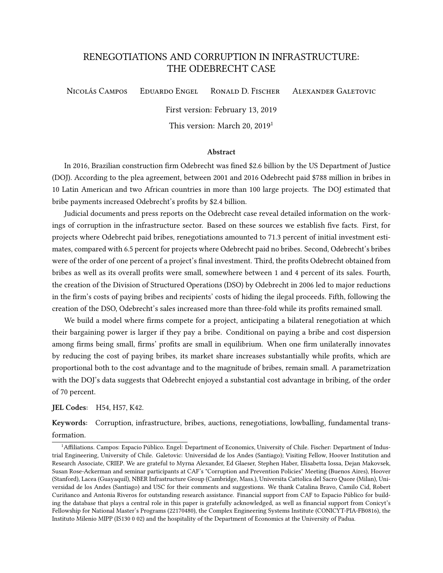# RENEGOTIATIONS AND CORRUPTION IN INFRASTRUCTURE: THE ODEBRECHT CASE

Nicolás Campos Eduardo Engel Ronald D. Fischer Alexander Galetovic

First version: February 13, 2019

This version: March 20, 2019<sup>1</sup>

#### Abstract

In 2016, Brazilian construction firm Odebrecht was fined \$2.6 billion by the US Department of Justice (DOJ). According to the plea agreement, between 2001 and 2016 Odebrecht paid \$788 million in bribes in 10 Latin American and two African countries in more than 100 large projects. The DOJ estimated that bribe payments increased Odebrecht's profits by \$2.4 billion.

Judicial documents and press reports on the Odebrecht case reveal detailed information on the workings of corruption in the infrastructure sector. Based on these sources we establish five facts. First, for projects where Odebrecht paid bribes, renegotiations amounted to 71.3 percent of initial investment estimates, compared with 6.5 percent for projects where Odebrecht paid no bribes. Second, Odebrecht's bribes were of the order of one percent of a project's final investment. Third, the profits Odebrecht obtained from bribes as well as its overall profits were small, somewhere between 1 and 4 percent of its sales. Fourth, the creation of the Division of Structured Operations (DSO) by Odebrecht in 2006 led to major reductions in the firm's costs of paying bribes and recipients' costs of hiding the ilegal proceeds. Fifth, following the creation of the DSO, Odebrecht's sales increased more than three-fold while its profits remained small.

We build a model where firms compete for a project, anticipating a bilateral renegotiation at which their bargaining power is larger if they pay a bribe. Conditional on paying a bribe and cost dispersion among firms being small, firms' profits are small in equilibrium. When one firm unilaterally innovates by reducing the cost of paying bribes, its market share increases substantially while profits, which are proportional both to the cost advantage and to the magnitude of bribes, remain small. A parametrization with the DOJ's data suggests that Odebrecht enjoyed a substantial cost advantage in bribing, of the order of 70 percent.

JEL Codes: H54, H57, K42.

Keywords: Corruption, infrastructure, bribes, auctions, renegotiations, lowballing, fundamental transformation.

<sup>&</sup>lt;sup>1</sup> Affiliations. Campos: Espacio Público. Engel: Department of Economics, University of Chile. Fischer: Department of Industrial Engineering, University of Chile. Galetovic: Universidad de los Andes (Santiago); Visiting Fellow, Hoover Institution and Research Associate, CRIEP. We are grateful to Myrna Alexander, Ed Glaeser, Stephen Haber, Elisabetta Iossa, Dejan Makovsek, Susan Rose-Ackerman and seminar participants at CAF's "Corruption and Prevention Policies" Meeting (Buenos Aires), Hoover (Stanford), Lacea (Guayaquil), NBER Infrastructure Group (Cambridge, Mass.), Universita Cattolica del Sacro Quore (Milan), Universidad de los Andes (Santiago) and USC for their comments and suggestions. We thank Catalina Bravo, Camilo Cid, Robert Curiñanco and Antonia Riveros for outstanding research assistance. Financial support from CAF to Espacio Público for building the database that plays a central role in this paper is gratefully acknowledged, as well as financial support from Conicyt's Fellowship for National Master's Programs (22170480), the Complex Engineering Systems Institute (CONICYT-PIA-FB0816), the Instituto Milenio MIPP (IS130 0 02) and the hospitality of the Department of Economics at the University of Padua.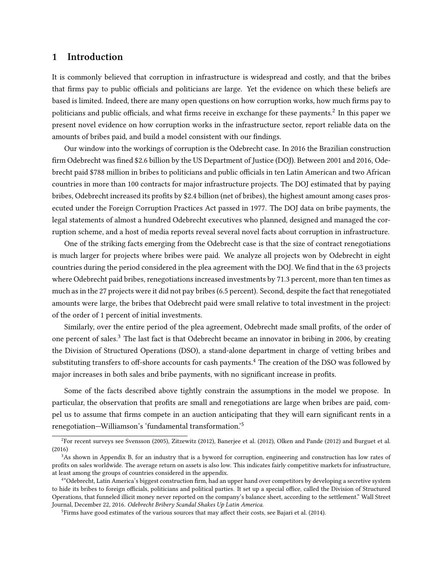# 1 Introduction

It is commonly believed that corruption in infrastructure is widespread and costly, and that the bribes that firms pay to public officials and politicians are large. Yet the evidence on which these beliefs are based is limited. Indeed, there are many open questions on how corruption works, how much firms pay to politicians and public officials, and what firms receive in exchange for these payments. $^2$  In this paper we present novel evidence on how corruption works in the infrastructure sector, report reliable data on the amounts of bribes paid, and build a model consistent with our findings.

Our window into the workings of corruption is the Odebrecht case. In 2016 the Brazilian construction firm Odebrecht was fined \$2.6 billion by the US Department of Justice (DOJ). Between 2001 and 2016, Odebrecht paid \$788 million in bribes to politicians and public officials in ten Latin American and two African countries in more than 100 contracts for major infrastructure projects. The DOJ estimated that by paying bribes, Odebrecht increased its profits by \$2.4 billion (net of bribes), the highest amount among cases prosecuted under the Foreign Corruption Practices Act passed in 1977. The DOJ data on bribe payments, the legal statements of almost a hundred Odebrecht executives who planned, designed and managed the corruption scheme, and a host of media reports reveal several novel facts about corruption in infrastructure.

One of the striking facts emerging from the Odebrecht case is that the size of contract renegotiations is much larger for projects where bribes were paid. We analyze all projects won by Odebrecht in eight countries during the period considered in the plea agreement with the DOJ. We find that in the 63 projects where Odebrecht paid bribes, renegotiations increased investments by 71.3 percent, more than ten times as much as in the 27 projects were it did not pay bribes (6.5 percent). Second, despite the fact that renegotiated amounts were large, the bribes that Odebrecht paid were small relative to total investment in the project: of the order of 1 percent of initial investments.

Similarly, over the entire period of the plea agreement, Odebrecht made small profits, of the order of one percent of sales.<sup>3</sup> The last fact is that Odebrecht became an innovator in bribing in 2006, by creating the Division of Structured Operations (DSO), a stand-alone department in charge of vetting bribes and substituting transfers to off-shore accounts for cash payments.<sup>4</sup> The creation of the DSO was followed by major increases in both sales and bribe payments, with no significant increase in profits.

Some of the facts described above tightly constrain the assumptions in the model we propose. In particular, the observation that profits are small and renegotiations are large when bribes are paid, compel us to assume that firms compete in an auction anticipating that they will earn significant rents in a renegotiation—Williamson's 'fundamental transformation.'<sup>5</sup>

 ${}^{2}$ For recent surveys see Svensson (2005), Zitzewitz (2012), Banerjee et al. (2012), Olken and Pande (2012) and Burguet et al. (2016)

<sup>&</sup>lt;sup>3</sup>As shown in Appendix B, for an industry that is a byword for corruption, engineering and construction has low rates of profits on sales worldwide. The average return on assets is also low. This indicates fairly competitive markets for infrastructure, at least among the groups of countries considered in the appendix.

<sup>&</sup>lt;sup>4</sup>"Odebrecht, Latin America's biggest construction firm, had an upper hand over competitors by developing a secretive system to hide its bribes to foreign officials, politicians and political parties. It set up a special office, called the Division of Structured Operations, that funneled illicit money never reported on the company's balance sheet, according to the settlement." Wall Street Journal, December 22, 2016. Odebrecht Bribery Scandal Shakes Up Latin America.

<sup>&</sup>lt;sup>5</sup>Firms have good estimates of the various sources that may affect their costs, see Bajari et al. (2014).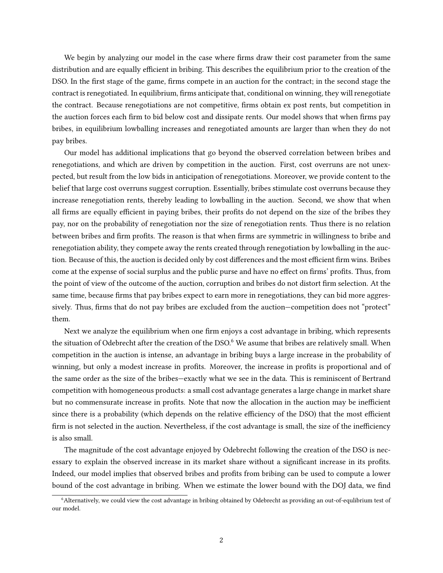We begin by analyzing our model in the case where firms draw their cost parameter from the same distribution and are equally efficient in bribing. This describes the equilibrium prior to the creation of the DSO. In the first stage of the game, firms compete in an auction for the contract; in the second stage the contract is renegotiated. In equilibrium, firms anticipate that, conditional on winning, they will renegotiate the contract. Because renegotiations are not competitive, firms obtain ex post rents, but competition in the auction forces each firm to bid below cost and dissipate rents. Our model shows that when firms pay bribes, in equilibrium lowballing increases and renegotiated amounts are larger than when they do not pay bribes.

Our model has additional implications that go beyond the observed correlation between bribes and renegotiations, and which are driven by competition in the auction. First, cost overruns are not unexpected, but result from the low bids in anticipation of renegotiations. Moreover, we provide content to the belief that large cost overruns suggest corruption. Essentially, bribes stimulate cost overruns because they increase renegotiation rents, thereby leading to lowballing in the auction. Second, we show that when all firms are equally efficient in paying bribes, their profits do not depend on the size of the bribes they pay, nor on the probability of renegotiation nor the size of renegotiation rents. Thus there is no relation between bribes and firm profits. The reason is that when firms are symmetric in willingness to bribe and renegotiation ability, they compete away the rents created through renegotiation by lowballing in the auction. Because of this, the auction is decided only by cost differences and the most efficient firm wins. Bribes come at the expense of social surplus and the public purse and have no effect on firms' profits. Thus, from the point of view of the outcome of the auction, corruption and bribes do not distort firm selection. At the same time, because firms that pay bribes expect to earn more in renegotiations, they can bid more aggressively. Thus, firms that do not pay bribes are excluded from the auction—competition does not "protect" them.

Next we analyze the equilibrium when one firm enjoys a cost advantage in bribing, which represents the situation of Odebrecht after the creation of the DSO.<sup>6</sup> We asume that bribes are relatively small. When competition in the auction is intense, an advantage in bribing buys a large increase in the probability of winning, but only a modest increase in profits. Moreover, the increase in profits is proportional and of the same order as the size of the bribes—exactly what we see in the data. This is reminiscent of Bertrand competition with homogeneous products: a small cost advantage generates a large change in market share but no commensurate increase in profits. Note that now the allocation in the auction may be inefficient since there is a probability (which depends on the relative efficiency of the DSO) that the most efficient firm is not selected in the auction. Nevertheless, if the cost advantage is small, the size of the inefficiency is also small.

The magnitude of the cost advantage enjoyed by Odebrecht following the creation of the DSO is necessary to explain the observed increase in its market share without a significant increase in its profits. Indeed, our model implies that observed bribes and profits from bribing can be used to compute a lower bound of the cost advantage in bribing. When we estimate the lower bound with the DOJ data, we find

<sup>&</sup>lt;sup>6</sup>Alternatively, we could view the cost advantage in bribing obtained by Odebrecht as providing an out-of-equlibrium test of our model.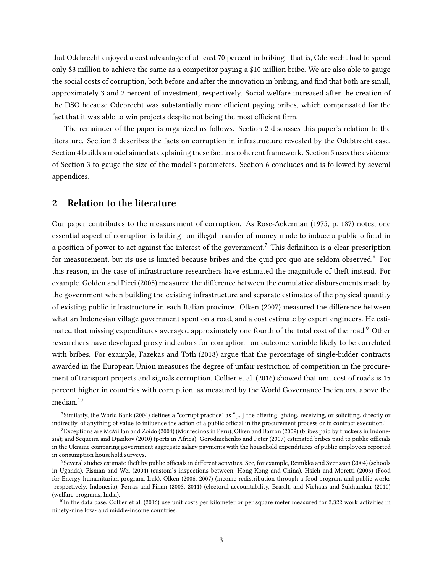that Odebrecht enjoyed a cost advantage of at least 70 percent in bribing—that is, Odebrecht had to spend only \$3 million to achieve the same as a competitor paying a \$10 million bribe. We are also able to gauge the social costs of corruption, both before and after the innovation in bribing, and find that both are small, approximately 3 and 2 percent of investment, respectively. Social welfare increased after the creation of the DSO because Odebrecht was substantially more efficient paying bribes, which compensated for the fact that it was able to win projects despite not being the most efficient firm.

The remainder of the paper is organized as follows. Section 2 discusses this paper's relation to the literature. Section 3 describes the facts on corruption in infrastructure revealed by the Odebtrecht case. Section 4 builds a model aimed at explaining these fact in a coherent framework. Section 5 uses the evidence of Section 3 to gauge the size of the model's parameters. Section 6 concludes and is followed by several appendices.

## 2 Relation to the literature

Our paper contributes to the measurement of corruption. As Rose-Ackerman (1975, p. 187) notes, one essential aspect of corruption is bribing—an illegal transfer of money made to induce a public official in a position of power to act against the interest of the government.<sup>7</sup> This definition is a clear prescription for measurement, but its use is limited because bribes and the quid pro quo are seldom observed. $8$  For this reason, in the case of infrastructure researchers have estimated the magnitude of theft instead. For example, Golden and Picci (2005) measured the difference between the cumulative disbursements made by the government when building the existing infrastructure and separate estimates of the physical quantity of existing public infrastructure in each Italian province. Olken (2007) measured the difference between what an Indonesian village government spent on a road, and a cost estimate by expert engineers. He estimated that missing expenditures averaged approximately one fourth of the total cost of the road.<sup>9</sup> Other researchers have developed proxy indicators for corruption—an outcome variable likely to be correlated with bribes. For example, Fazekas and Toth (2018) argue that the percentage of single-bidder contracts awarded in the European Union measures the degree of unfair restriction of competition in the procurement of transport projects and signals corruption. Collier et al. (2016) showed that unit cost of roads is 15 percent higher in countries with corruption, as measured by the World Governance Indicators, above the median.<sup>10</sup>

<sup>&</sup>lt;sup>7</sup>Similarly, the World Bank (2004) defines a "corrupt practice" as "[...] the offering, giving, receiving, or soliciting, directly or indirectly, of anything of value to influence the action of a public official in the procurement process or in contract execution."

<sup>8</sup>Exceptions are McMillan and Zoido (2004) (Montecinos in Peru); Olken and Barron (2009) (bribes paid by truckers in Indonesia); and Sequeira and Djankov (2010) (ports in Africa). Gorodnichenko and Peter (2007) estimated bribes paid to public officials in the Ukraine comparing government aggregate salary payments with the household expenditures of public employees reported in consumption household surveys.

<sup>&</sup>lt;sup>9</sup>Several studies estimate theft by public officials in different activities. See, for example, Reinikka and Svensson (2004) (schools in Uganda), Fisman and Wei (2004) (custom's inspections between, Hong-Kong and China), Hsieh and Moretti (2006) (Food for Energy humanitarian program, Irak), Olken (2006, 2007) (income redistribution through a food program and public works -respectively, Indonesia), Ferraz and Finan (2008, 2011) (electoral accountability, Brasil), and Niehaus and Sukhtankar (2010) (welfare programs, India).

 $10$ In the data base, Collier et al. (2016) use unit costs per kilometer or per square meter measured for 3,322 work activities in ninety-nine low- and middle-income countries.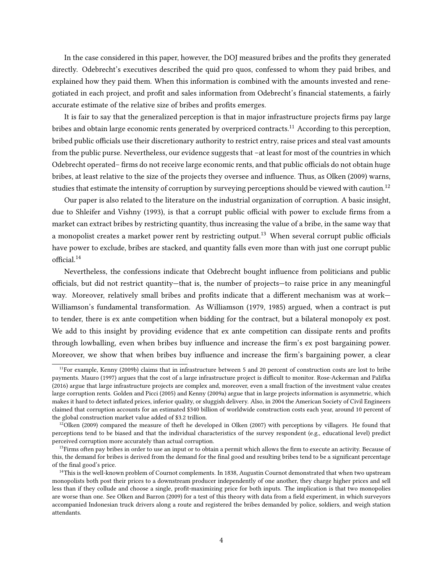In the case considered in this paper, however, the DOJ measured bribes and the prots they generated directly. Odebrecht's executives described the quid pro quos, confessed to whom they paid bribes, and explained how they paid them. When this information is combined with the amounts invested and renegotiated in each project, and profit and sales information from Odebrecht's financial statements, a fairly accurate estimate of the relative size of bribes and profits emerges.

It is fair to say that the generalized perception is that in major infrastructure projects firms pay large bribes and obtain large economic rents generated by overpriced contracts.<sup>11</sup> According to this perception, bribed public officials use their discretionary authority to restrict entry, raise prices and steal vast amounts from the public purse. Nevertheless, our evidence suggests that –at least for most of the countries in which Odebrecht operated– firms do not receive large economic rents, and that public officials do not obtain huge bribes, at least relative to the size of the projects they oversee and influence. Thus, as Olken (2009) warns, studies that estimate the intensity of corruption by surveying perceptions should be viewed with caution.<sup>12</sup>

Our paper is also related to the literature on the industrial organization of corruption. A basic insight, due to Shleifer and Vishny (1993), is that a corrupt public official with power to exclude firms from a market can extract bribes by restricting quantity, thus increasing the value of a bribe, in the same way that a monopolist creates a market power rent by restricting output.<sup>13</sup> When several corrupt public officials have power to exclude, bribes are stacked, and quantity falls even more than with just one corrupt public official.<sup>14</sup>

Nevertheless, the confessions indicate that Odebrecht bought influence from politicians and public officials, but did not restrict quantity—that is, the number of projects—to raise price in any meaningful way. Moreover, relatively small bribes and profits indicate that a different mechanism was at work– Williamson's fundamental transformation. As Williamson (1979, 1985) argued, when a contract is put to tender, there is ex ante competition when bidding for the contract, but a bilateral monopoly ex post. We add to this insight by providing evidence that ex ante competition can dissipate rents and profits through lowballing, even when bribes buy influence and increase the firm's ex post bargaining power. Moreover, we show that when bribes buy influence and increase the firm's bargaining power, a clear

<sup>&</sup>lt;sup>11</sup>For example, Kenny (2009b) claims that in infrastructure between 5 and 20 percent of construction costs are lost to bribe payments. Mauro (1997) argues that the cost of a large infrastructure project is difficult to monitor. Rose-Ackerman and Palifka (2016) argue that large infrastructure projects are complex and, moreover, even a small fraction of the investment value creates large corruption rents. Golden and Picci (2005) and Kenny (2009a) argue that in large projects information is asymmetric, which makes it hard to detect inflated prices, inferior quality, or sluggish delivery. Also, in 2004 the American Society of Civil Engineers claimed that corruption accounts for an estimated \$340 billion of worldwide construction costs each year, around 10 percent of the global construction market value added of \$3.2 trillion.

 $12$ Olken (2009) compared the measure of theft he developed in Olken (2007) with perceptions by villagers. He found that perceptions tend to be biased and that the individual characteristics of the survey respondent (e.g., educational level) predict perceived corruption more accurately than actual corruption.

 $13$ Firms often pay bribes in order to use an input or to obtain a permit which allows the firm to execute an activity. Because of this, the demand for bribes is derived from the demand for the final good and resulting bribes tend to be a significant percentage of the final good's price.

<sup>&</sup>lt;sup>14</sup>This is the well-known problem of Cournot complements. In 1838, Augustin Cournot demonstrated that when two upstream monopolists both post their prices to a downstream producer independently of one another, they charge higher prices and sell less than if they collude and choose a single, profit-maximizing price for both inputs. The implication is that two monopolies are worse than one. See Olken and Barron (2009) for a test of this theory with data from a field experiment, in which surveyors accompanied Indonesian truck drivers along a route and registered the bribes demanded by police, soldiers, and weigh station attendants.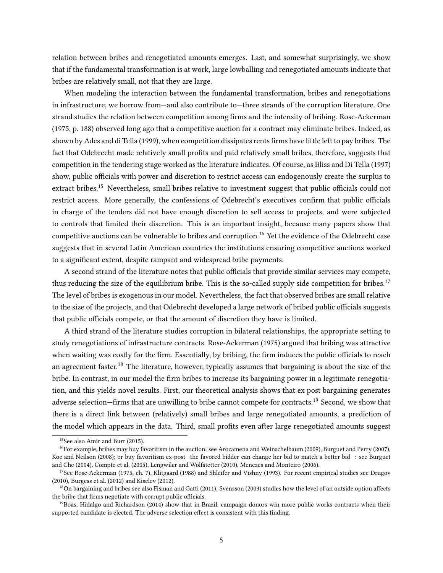relation between bribes and renegotiated amounts emerges. Last, and somewhat surprisingly, we show that if the fundamental transformation is at work, large lowballing and renegotiated amounts indicate that bribes are relatively small, not that they are large.

When modeling the interaction between the fundamental transformation, bribes and renegotiations in infrastructure, we borrow from—and also contribute to—three strands of the corruption literature. One strand studies the relation between competition among firms and the intensity of bribing. Rose-Ackerman (1975, p. 188) observed long ago that a competitive auction for a contract may eliminate bribes. Indeed, as shown by Ades and di Tella (1999), when competition dissipates rents firms have little left to pay bribes. The fact that Odebrecht made relatively small profits and paid relatively small bribes, therefore, suggests that competition in the tendering stage worked as the literature indicates. Of course, as Bliss and Di Tella (1997) show, public officials with power and discretion to restrict access can endogenously create the surplus to extract bribes.<sup>15</sup> Nevertheless, small bribes relative to investment suggest that public officials could not restrict access. More generally, the confessions of Odebrecht's executives confirm that public officials in charge of the tenders did not have enough discretion to sell access to projects, and were subjected to controls that limited their discretion. This is an important insight, because many papers show that competitive auctions can be vulnerable to bribes and corruption.<sup>16</sup> Yet the evidence of the Odebrecht case suggests that in several Latin American countries the institutions ensuring competitive auctions worked to a signicant extent, despite rampant and widespread bribe payments.

A second strand of the literature notes that public officials that provide similar services may compete, thus reducing the size of the equilibrium bribe. This is the so-called supply side competition for bribes.<sup>17</sup> The level of bribes is exogenous in our model. Nevertheless, the fact that observed bribes are small relative to the size of the projects, and that Odebrecht developed a large network of bribed public officials suggests that public officials compete, or that the amount of discretion they have is limited.

A third strand of the literature studies corruption in bilateral relationships, the appropriate setting to study renegotiations of infrastructure contracts. Rose-Ackerman (1975) argued that bribing was attractive when waiting was costly for the firm. Essentially, by bribing, the firm induces the public officials to reach an agreement faster.<sup>18</sup> The literature, however, typically assumes that bargaining is about the size of the bribe. In contrast, in our model the firm bribes to increase its bargaining power in a legitimate renegotiation, and this yields novel results. First, our theoretical analysis shows that ex post bargaining generates adverse selection—firms that are unwilling to bribe cannot compete for contracts.<sup>19</sup> Second, we show that there is a direct link between (relatively) small bribes and large renegotiated amounts, a prediction of the model which appears in the data. Third, small profits even after large renegotiated amounts suggest

<sup>15</sup>See also Amir and Burr (2015).

 $16$  For example, bribes may buy favoritism in the auction: see Arozamena and Weinschelbaum (2009), Burguet and Perry (2007), Koc and Neilson (2008); or buy favoritism ex-post—the favored bidder can change her bid to match a better bid—: see Burguet and Che (2004), Compte et al. (2005), Lengwiler and Wolfstetter (2010), Menezes and Monteiro (2006).

 $17$ See Rose-Ackerman (1975, ch. 7), Klitgaard (1988) and Shleifer and Vishny (1993). For recent empirical studies see Drugov (2010), Burgess et al. (2012) and Kiselev (2012).

 $18$ On bargaining and bribes see also Fisman and Gatti (2011). Svensson (2003) studies how the level of an outside option affects the bribe that firms negotiate with corrupt public officials.

<sup>&</sup>lt;sup>19</sup>Boas, Hidalgo and Richardson (2014) show that in Brazil, campaign donors win more public works contracts when their supported candidate is elected. The adverse selection effect is consistent with this finding.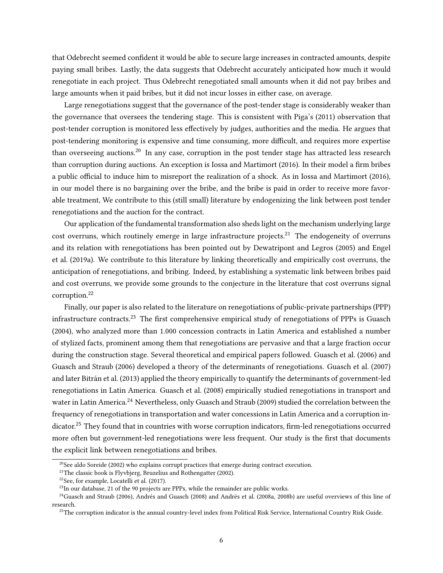that Odebrecht seemed condent it would be able to secure large increases in contracted amounts, despite paying small bribes. Lastly, the data suggests that Odebrecht accurately anticipated how much it would renegotiate in each project. Thus Odebrecht renegotiated small amounts when it did not pay bribes and large amounts when it paid bribes, but it did not incur losses in either case, on average.

Large renegotiations suggest that the governance of the post-tender stage is considerably weaker than the governance that oversees the tendering stage. This is consistent with Piga's (2011) observation that post-tender corruption is monitored less effectively by judges, authorities and the media. He argues that post-tendering monitoring is expensive and time consuming, more difficult, and requires more expertise than overseeing auctions.<sup>20</sup> In any case, corruption in the post tender stage has attracted less research than corruption during auctions. An exception is Iossa and Martimort (2016). In their model a firm bribes a public official to induce him to misreport the realization of a shock. As in Iossa and Martimort (2016), in our model there is no bargaining over the bribe, and the bribe is paid in order to receive more favorable treatment, We contribute to this (still small) literature by endogenizing the link between post tender renegotiations and the auction for the contract.

Our application of the fundamental transformation also sheds light on the mechanism underlying large cost overruns, which routinely emerge in large infrastructure projects.<sup>21</sup> The endogeneity of overruns and its relation with renegotiations has been pointed out by Dewatripont and Legros (2005) and Engel et al. (2019a). We contribute to this literature by linking theoretically and empirically cost overruns, the anticipation of renegotiations, and bribing. Indeed, by establishing a systematic link between bribes paid and cost overruns, we provide some grounds to the conjecture in the literature that cost overruns signal corruption.<sup>22</sup>

Finally, our paper is also related to the literature on renegotiations of public-private partnerships (PPP) infrastructure contracts.<sup>23</sup> The first comprehensive empirical study of renegotiations of PPPs is Guasch (2004), who analyzed more than 1.000 concession contracts in Latin America and established a number of stylized facts, prominent among them that renegotiations are pervasive and that a large fraction occur during the construction stage. Several theoretical and empirical papers followed. Guasch et al. (2006) and Guasch and Straub (2006) developed a theory of the determinants of renegotiations. Guasch et al. (2007) and later Bitrán et al. (2013) applied the theory empirically to quantify the determinants of government-led renegotiations in Latin America. Guasch et al. (2008) empirically studied renegotiations in transport and water in Latin America.<sup>24</sup> Nevertheless, only Guasch and Straub (2009) studied the correlation between the frequency of renegotiations in transportation and water concessions in Latin America and a corruption indicator.<sup>25</sup> They found that in countries with worse corruption indicators, firm-led renegotiations occurred more often but government-led renegotiations were less frequent. Our study is the first that documents the explicit link between renegotiations and bribes.

<sup>&</sup>lt;sup>20</sup>See aldo Soreide (2002) who explains corrupt practices that emerge during contract execution.

 $21$ <sup>21</sup>The classic book is Flyvbjerg, Bruzelius and Rothengatter (2002).

<sup>22</sup>See, for example, Locatelli et al. (2017).

 $^{23}$ In our database, 21 of the 90 projects are PPPs, while the remainder are public works.

<sup>&</sup>lt;sup>24</sup>Guasch and Straub (2006), Andrés and Guasch (2008) and Andrés et al. (2008a, 2008b) are useful overviews of this line of research.

 $^{25}$ The corruption indicator is the annual country-level index from Political Risk Service, International Country Risk Guide.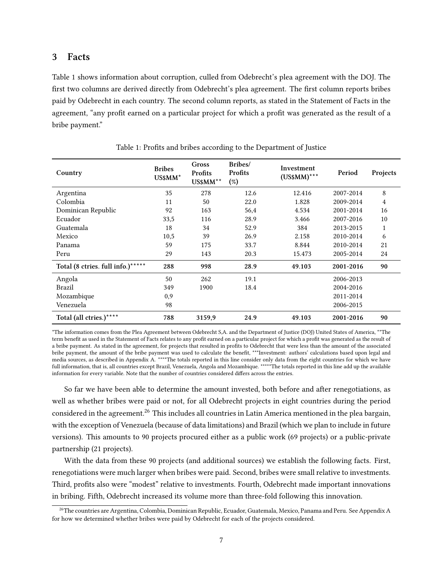## 3 Facts

Table 1 shows information about corruption, culled from Odebrecht's plea agreement with the DOJ. The first two columns are derived directly from Odebrecht's plea agreement. The first column reports bribes paid by Odebrecht in each country. The second column reports, as stated in the Statement of Facts in the agreement, "any profit earned on a particular project for which a profit was generated as the result of a bribe payment."

| Country                           | <b>Bribes</b><br>US\$MM* | Gross<br>Profits<br>US\$MM** | Bribes/<br>Profits<br>(%) | Investment<br>$(US$MM)***$ | Period    | Projects |
|-----------------------------------|--------------------------|------------------------------|---------------------------|----------------------------|-----------|----------|
| Argentina                         | 35                       | 278                          | 12.6                      | 12.416                     | 2007-2014 | 8        |
| Colombia                          | 11                       | 50                           | 22.0                      | 1.828                      | 2009-2014 | 4        |
| Dominican Republic                | 92                       | 163                          | 56,4                      | 4.534                      | 2001-2014 | 16       |
| Ecuador                           | 33,5                     | 116                          | 28.9                      | 3.466                      | 2007-2016 | 10       |
| Guatemala                         | 18                       | 34                           | 52.9                      | 384                        | 2013-2015 | 1        |
| Mexico                            | 10,5                     | 39                           | 26.9                      | 2.158                      | 2010-2014 | 6        |
| Panama                            | 59                       | 175                          | 33.7                      | 8.844                      | 2010-2014 | 21       |
| Peru                              | 29                       | 143                          | 20.3                      | 15.473                     | 2005-2014 | 24       |
| Total (8 ctries. full info.)***** | 288                      | 998                          | 28.9                      | 49.103                     | 2001-2016 | 90       |
| Angola                            | 50                       | 262                          | 19.1                      |                            | 2006-2013 |          |
| <b>Brazil</b>                     | 349                      | 1900                         | 18.4                      |                            | 2004-2016 |          |
| Mozambique                        | 0,9                      |                              |                           |                            | 2011-2014 |          |
| Venezuela                         | 98                       |                              |                           |                            | 2006-2015 |          |
| Total (all ctries.)****           | 788                      | 3159,9                       | 24.9                      | 49.103                     | 2001-2016 | 90       |

Table 1: Profits and bribes according to the Department of Justice

\*The information comes from the Plea Agreement between Odebrecht S,A. and the Department of Justice (DOJ) United States of America, \*\*The term benefit as used in the Statement of Facts relates to any profit earned on a particular project for which a profit was generated as the result of a bribe payment. As stated in the agreement, for projects that resulted in profits to Odebrecht that were less than the amount of the associated bribe payment, the amount of the bribe payment was used to calculate the benefit, \*\*\*Investment: authors' calculations based upon legal and media sources, as described in Appendix A. \*\*\*\*The totals reported in this line consider only data from the eight countries for which we have full information, that is, all countries except Brazil, Venezuela, Angola and Mozambique. \*\*\*\*\*The totals reported in this line add up the available information for every variable. Note that the number of countries considered differs across the entries.

So far we have been able to determine the amount invested, both before and after renegotiations, as well as whether bribes were paid or not, for all Odebrecht projects in eight countries during the period considered in the agreement.<sup>26</sup> This includes all countries in Latin America mentioned in the plea bargain, with the exception of Venezuela (because of data limitations) and Brazil (which we plan to include in future versions). This amounts to 90 projects procured either as a public work (69 projects) or a public-private partnership (21 projects).

With the data from these 90 projects (and additional sources) we establish the following facts. First, renegotiations were much larger when bribes were paid. Second, bribes were small relative to investments. Third, profits also were "modest" relative to investments. Fourth, Odebrecht made important innovations in bribing. Fifth, Odebrecht increased its volume more than three-fold following this innovation.

<sup>26</sup>The countries are Argentina, Colombia, Dominican Republic, Ecuador, Guatemala, Mexico, Panama and Peru. See Appendix A for how we determined whether bribes were paid by Odebrecht for each of the projects considered.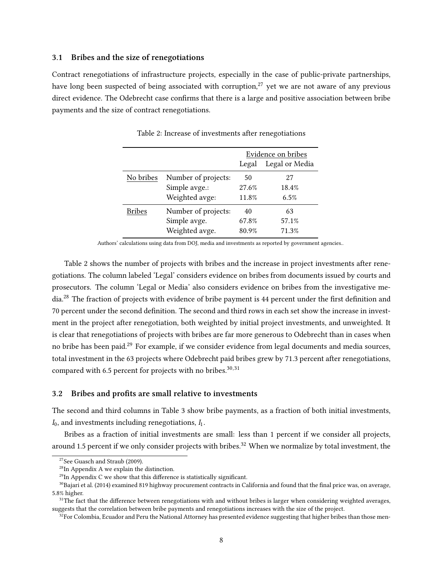#### 3.1 Bribes and the size of renegotiations

Contract renegotiations of infrastructure projects, especially in the case of public-private partnerships, have long been suspected of being associated with corruption,<sup>27</sup> yet we are not aware of any previous direct evidence. The Odebrecht case confirms that there is a large and positive association between bribe payments and the size of contract renegotiations.

|           |                     | Evidence on bribes |                |  |  |  |
|-----------|---------------------|--------------------|----------------|--|--|--|
|           |                     | Legal              | Legal or Media |  |  |  |
| No bribes | Number of projects: | 50                 | 27             |  |  |  |
|           | Simple avge.:       | 27.6%              | 18.4%          |  |  |  |
|           | Weighted avge:      | 11.8%              | 6.5%           |  |  |  |
| Bribes    | Number of projects: | 40                 | 63             |  |  |  |
|           | Simple avge.        | 67.8%              | 57.1%          |  |  |  |
|           | Weighted avge.      | 80.9%              | 71.3%          |  |  |  |

Table 2: Increase of investments after renegotiations

Authors' calculations using data from DOJ, media and investments as reported by government agencies..

Table 2 shows the number of projects with bribes and the increase in project investments after renegotiations. The column labeled 'Legal' considers evidence on bribes from documents issued by courts and prosecutors. The column 'Legal or Media' also considers evidence on bribes from the investigative media.<sup>28</sup> The fraction of projects with evidence of bribe payment is 44 percent under the first definition and 70 percent under the second definition. The second and third rows in each set show the increase in investment in the project after renegotiation, both weighted by initial project investments, and unweighted. It is clear that renegotiations of projects with bribes are far more generous to Odebrecht than in cases when no bribe has been paid.<sup>29</sup> For example, if we consider evidence from legal documents and media sources, total investment in the 63 projects where Odebrecht paid bribes grew by 71.3 percent after renegotiations, compared with 6.5 percent for projects with no bribes. $30,31$ 

### 3.2 Bribes and profits are small relative to investments

The second and third columns in Table 3 show bribe payments, as a fraction of both initial investments,  $I_0$ , and investments including renegotiations,  $I_1$ .

Bribes as a fraction of initial investments are small: less than 1 percent if we consider all projects, around 1.5 percent if we only consider projects with bribes.<sup>32</sup> When we normalize by total investment, the

<sup>&</sup>lt;sup>27</sup>See Guasch and Straub (2009).

<sup>&</sup>lt;sup>28</sup>In Appendix A we explain the distinction.

 $^{29}$ In Appendix C we show that this difference is statistically significant.

 $30$ Bajari et al. (2014) examined 819 highway procurement contracts in California and found that the final price was, on average, 5.8% higher.

<sup>&</sup>lt;sup>31</sup>The fact that the difference between renegotiations with and without bribes is larger when considering weighted averages, suggests that the correlation between bribe payments and renegotiations increases with the size of the project.

 $32$ For Colombia, Ecuador and Peru the National Attorney has presented evidence suggesting that higher bribes than those men-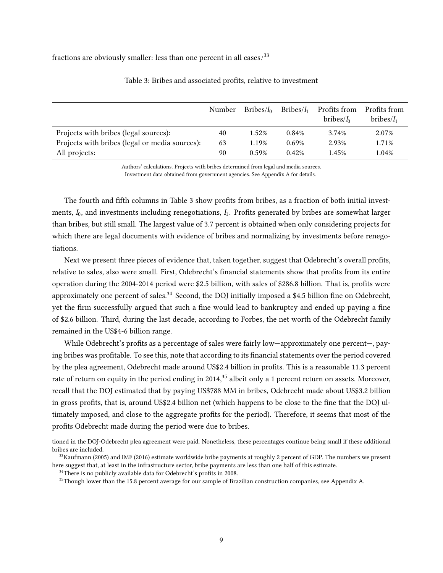fractions are obviously smaller: less than one percent in all cases.<sup>33</sup>

|                                                | Number | Bribes/ <sub>h</sub> | Bribes/I <sub>1</sub> | Profits from<br>bribes/ <i>I</i> <sub>0</sub> | Profits from<br>bribes/I <sub>1</sub> |
|------------------------------------------------|--------|----------------------|-----------------------|-----------------------------------------------|---------------------------------------|
| Projects with bribes (legal sources):          | 40     | 1.52%                | 0.84%                 | 3.74%                                         | 2.07%                                 |
| Projects with bribes (legal or media sources): | 63     | 1.19%                | 0.69%                 | 2.93%                                         | 1.71%                                 |
| All projects:                                  | 90     | 0.59%                | 0.42%                 | 1.45%                                         | 1.04%                                 |

#### Table 3: Bribes and associated profits, relative to investment

Authors' calculations. Projects with bribes determined from legal and media sources. Investment data obtained from government agencies. See Appendix A for details.

The fourth and fifth columns in Table 3 show profits from bribes, as a fraction of both initial investments,  $I_0$ , and investments including renegotiations,  $I_1$ . Profits generated by bribes are somewhat larger than bribes, but still small. The largest value of 3.7 percent is obtained when only considering projects for which there are legal documents with evidence of bribes and normalizing by investments before renegotiations.

Next we present three pieces of evidence that, taken together, suggest that Odebrecht's overall profits, relative to sales, also were small. First, Odebrecht's financial statements show that profits from its entire operation during the 2004-2014 period were \$2.5 billion, with sales of \$286.8 billion. That is, profits were approximately one percent of sales.<sup>34</sup> Second, the DOJ initially imposed a \$4.5 billion fine on Odebrecht, yet the firm successfully argued that such a fine would lead to bankruptcy and ended up paying a fine of \$2.6 billion. Third, during the last decade, according to Forbes, the net worth of the Odebrecht family remained in the US\$4-6 billion range.

While Odebrecht's profits as a percentage of sales were fairly low—approximately one percent—, paying bribes was profitable. To see this, note that according to its financial statements over the period covered by the plea agreement, Odebrecht made around US\$2.4 billion in profits. This is a reasonable 11.3 percent rate of return on equity in the period ending in 2014,<sup>35</sup> albeit only a 1 percent return on assets. Moreover, recall that the DOJ estimated that by paying US\$788 MM in bribes, Odebrecht made about US\$3.2 billion in gross profits, that is, around US\$2.4 billion net (which happens to be close to the fine that the DOJ ultimately imposed, and close to the aggregate profits for the period). Therefore, it seems that most of the profits Odebrecht made during the period were due to bribes.

tioned in the DOJ-Odebrecht plea agreement were paid. Nonetheless, these percentages continue being small if these additional bribes are included.

<sup>&</sup>lt;sup>33</sup>Kaufmann (2005) and IMF (2016) estimate worldwide bribe payments at roughly 2 percent of GDP. The numbers we present here suggest that, at least in the infrastructure sector, bribe payments are less than one half of this estimate.

 $34$ There is no publicly available data for Odebrecht's profits in 2008.

<sup>&</sup>lt;sup>35</sup>Though lower than the 15.8 percent average for our sample of Brazilian construction companies, see Appendix A.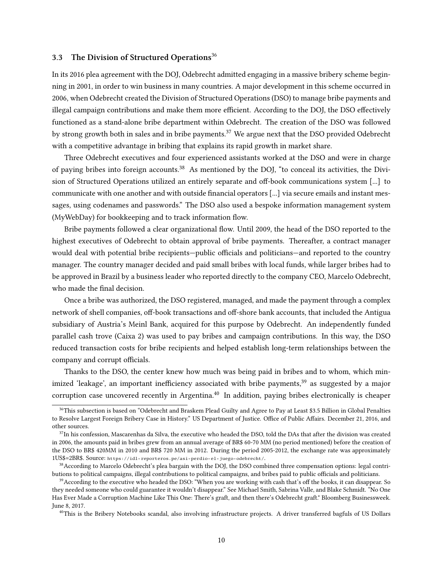### 3.3 The Division of Structured Operations<sup>36</sup>

In its 2016 plea agreement with the DOJ, Odebrecht admitted engaging in a massive bribery scheme beginning in 2001, in order to win business in many countries. A major development in this scheme occurred in 2006, when Odebrecht created the Division of Structured Operations (DSO) to manage bribe payments and illegal campaign contributions and make them more efficient. According to the DOJ, the DSO effectively functioned as a stand-alone bribe department within Odebrecht. The creation of the DSO was followed by strong growth both in sales and in bribe payments.<sup>37</sup> We argue next that the DSO provided Odebrecht with a competitive advantage in bribing that explains its rapid growth in market share.

Three Odebrecht executives and four experienced assistants worked at the DSO and were in charge of paying bribes into foreign accounts.<sup>38</sup> As mentioned by the DOJ, "to conceal its activities, the Division of Structured Operations utilized an entirely separate and off-book communications system [...] to communicate with one another and with outside financial operators [...] via secure emails and instant messages, using codenames and passwords." The DSO also used a bespoke information management system (MyWebDay) for bookkeeping and to track information flow.

Bribe payments followed a clear organizational flow. Until 2009, the head of the DSO reported to the highest executives of Odebrecht to obtain approval of bribe payments. Thereafter, a contract manager would deal with potential bribe recipients—public officials and politicians—and reported to the country manager. The country manager decided and paid small bribes with local funds, while larger bribes had to be approved in Brazil by a business leader who reported directly to the company CEO, Marcelo Odebrecht, who made the final decision.

Once a bribe was authorized, the DSO registered, managed, and made the payment through a complex network of shell companies, off-book transactions and off-shore bank accounts, that included the Antigua subsidiary of Austria's Meinl Bank, acquired for this purpose by Odebrecht. An independently funded parallel cash trove (Caixa 2) was used to pay bribes and campaign contributions. In this way, the DSO reduced transaction costs for bribe recipients and helped establish long-term relationships between the company and corrupt officials.

Thanks to the DSO, the center knew how much was being paid in bribes and to whom, which minimized 'leakage', an important inefficiency associated with bribe payments,<sup>39</sup> as suggested by a major corruption case uncovered recently in Argentina.<sup>40</sup> In addition, paying bribes electronically is cheaper

<sup>&</sup>lt;sup>36</sup>This subsection is based on "Odebrecht and Braskem Plead Guilty and Agree to Pay at Least \$3.5 Billion in Global Penalties to Resolve Largest Foreign Bribery Case in History." US Department of Justice. Office of Public Affairs. December 21, 2016, and other sources.

<sup>&</sup>lt;sup>37</sup>In his confession, Mascarenhas da Silva, the executive who headed the DSO, told the DAs that after the division was created in 2006, the amounts paid in bribes grew from an annual average of BR\$ 60-70 MM (no period mentioned) before the creation of the DSO to BR\$ 420MM in 2010 and BR\$ 720 MM in 2012. During the period 2005-2012, the exchange rate was approximately 1US\$=2BR\$. Source: https://idl-reporteros.pe/asi-perdio-el-juego-odebrecht/.

<sup>38</sup>According to Marcelo Odebrecht's plea bargain with the DOJ, the DSO combined three compensation options: legal contributions to political campaigns, illegal contributions to political campaigns, and bribes paid to public officials and politicians.

<sup>&</sup>lt;sup>39</sup> According to the executive who headed the DSO: "When you are working with cash that's off the books, it can disappear. So they needed someone who could guarantee it wouldn't disappear." See Michael Smith, Sabrina Valle, and Blake Schmidt. "No One Has Ever Made a Corruption Machine Like This One: There's graft, and then there's Odebrecht graft." Bloomberg Businessweek. June 8, 2017.

<sup>40</sup>This is the Bribery Notebooks scandal, also involving infrastructure projects. A driver transferred bagfuls of US Dollars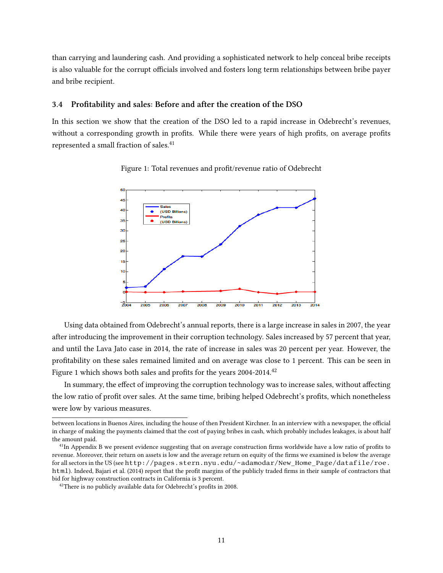than carrying and laundering cash. And providing a sophisticated network to help conceal bribe receipts is also valuable for the corrupt officials involved and fosters long term relationships between bribe payer and bribe recipient.

### 3.4 Profitability and sales: Before and after the creation of the DSO

In this section we show that the creation of the DSO led to a rapid increase in Odebrecht's revenues, without a corresponding growth in profits. While there were years of high profits, on average profits represented a small fraction of sales.<sup>41</sup>



Figure 1: Total revenues and profit/revenue ratio of Odebrecht

Using data obtained from Odebrecht's annual reports, there is a large increase in sales in 2007, the year after introducing the improvement in their corruption technology. Sales increased by 57 percent that year, and until the Lava Jato case in 2014, the rate of increase in sales was 20 percent per year. However, the protability on these sales remained limited and on average was close to 1 percent. This can be seen in Figure 1 which shows both sales and profits for the years  $2004-2014$ .<sup>42</sup>

In summary, the effect of improving the corruption technology was to increase sales, without affecting the low ratio of profit over sales. At the same time, bribing helped Odebrecht's profits, which nonetheless were low by various measures.

between locations in Buenos Aires, including the house of then President Kirchner. In an interview with a newspaper, the official in charge of making the payments claimed that the cost of paying bribes in cash, which probably includes leakages, is about half the amount paid.

<sup>&</sup>lt;sup>41</sup>In Appendix B we present evidence suggesting that on average construction firms worldwide have a low ratio of profits to revenue. Moreover, their return on assets is low and the average return on equity of the firms we examined is below the average for all sectors in the US (see http://pages.stern.nyu.edu/~adamodar/New\_Home\_Page/datafile/roe. html). Indeed, Bajari et al. (2014) report that the profit margins of the publicly traded firms in their sample of contractors that bid for highway construction contracts in California is 3 percent.

 $42$ There is no publicly available data for Odebrecht's profits in 2008.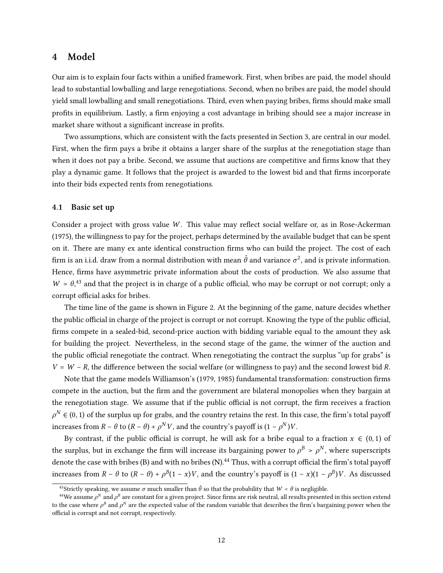## 4 Model

Our aim is to explain four facts within a unified framework. First, when bribes are paid, the model should lead to substantial lowballing and large renegotiations. Second, when no bribes are paid, the model should yield small lowballing and small renegotiations. Third, even when paying bribes, firms should make small profits in equilibrium. Lastly, a firm enjoying a cost advantage in bribing should see a major increase in market share without a significant increase in profits.

Two assumptions, which are consistent with the facts presented in Section 3, are central in our model. First, when the firm pays a bribe it obtains a larger share of the surplus at the renegotiation stage than when it does not pay a bribe. Second, we assume that auctions are competitive and firms know that they play a dynamic game. It follows that the project is awarded to the lowest bid and that firms incorporate into their bids expected rents from renegotiations.

### 4.1 Basic set up

Consider a project with gross value  $W$ . This value may reflect social welfare or, as in Rose-Ackerman (1975), the willingness to pay for the project, perhaps determined by the available budget that can be spent on it. There are many ex ante identical construction firms who can build the project. The cost of each firm is an i.i.d. draw from a normal distribution with mean  $\bar{\theta}$  and variance  $\sigma^2$ , and is private information. Hence, firms have asymmetric private information about the costs of production. We also assume that  $W > \theta$ <sup>43</sup> and that the project is in charge of a public official, who may be corrupt or not corrupt; only a corrupt official asks for bribes.

The time line of the game is shown in Figure 2. At the beginning of the game, nature decides whether the public official in charge of the project is corrupt or not corrupt. Knowing the type of the public official, firms compete in a sealed-bid, second-price auction with bidding variable equal to the amount they ask for building the project. Nevertheless, in the second stage of the game, the winner of the auction and the public official renegotiate the contract. When renegotiating the contract the surplus "up for grabs" is  $V = W - R$ , the difference between the social welfare (or willingness to pay) and the second lowest bid R.

Note that the game models Williamson's (1979, 1985) fundamental transformation: construction firms compete in the auction, but the firm and the government are bilateral monopolies when they bargain at the renegotiation stage. We assume that if the public official is not corrupt, the firm receives a fraction  $\rho^N \in (0,1)$  of the surplus up for grabs, and the country retains the rest. In this case, the firm's total payoff increases from  $R - \theta$  to  $(R - \theta) + \rho^N V$ , and the country's payoff is  $(1 - \rho^N)V$ .

By contrast, if the public official is corrupt, he will ask for a bribe equal to a fraction  $x \in (0,1)$  of the surplus, but in exchange the firm will increase its bargaining power to  $\rho^B > \rho^N$ , where superscripts denote the case with bribes (B) and with no bribes (N).<sup>44</sup> Thus, with a corrupt official the firm's total payoff increases from  $R - \theta$  to  $(R - \theta) + \rho^{B}(1 - x)V$ , and the country's payoff is  $(1 - x)(1 - \rho^{B})V$ . As discussed

<sup>&</sup>lt;sup>43</sup>Strictly speaking, we assume  $\sigma$  much smaller than  $\bar{\theta}$  so that the probability that  $W < \theta$  is negligible.

<sup>&</sup>lt;sup>44</sup>We assume  $\rho^N$  and  $\rho^B$  are constant for a given project. Since firms are risk neutral, all results presented in this section extend to the case where  $\rho^B$  and  $\rho^N$  are the expected value of the random variable that describes the firm's bargaining power when the official is corrupt and not corrupt, respectively.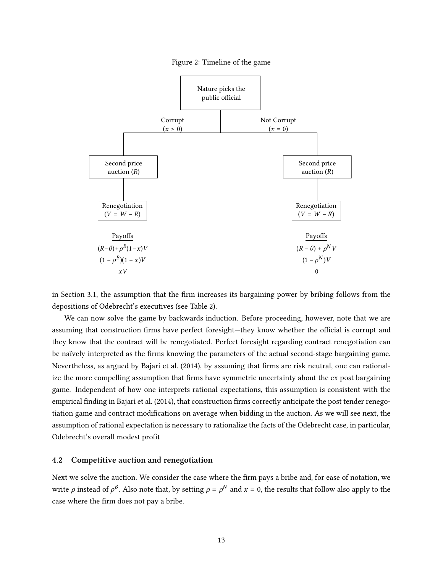



in Section 3.1, the assumption that the firm increases its bargaining power by bribing follows from the depositions of Odebrecht's executives (see Table 2).

We can now solve the game by backwards induction. Before proceeding, however, note that we are assuming that construction firms have perfect foresight—they know whether the official is corrupt and they know that the contract will be renegotiated. Perfect foresight regarding contract renegotiation can be naïvely interpreted as the firms knowing the parameters of the actual second-stage bargaining game. Nevertheless, as argued by Bajari et al. (2014), by assuming that firms are risk neutral, one can rationalize the more compelling assumption that firms have symmetric uncertainty about the ex post bargaining game. Independent of how one interprets rational expectations, this assumption is consistent with the empirical finding in Bajari et al. (2014), that construction firms correctly anticipate the post tender renegotiation game and contract modifications on average when bidding in the auction. As we will see next, the assumption of rational expectation is necessary to rationalize the facts of the Odebrecht case, in particular, Odebrecht's overall modest profit

#### 4.2 Competitive auction and renegotiation

Next we solve the auction. We consider the case where the firm pays a bribe and, for ease of notation, we write  $\rho$  instead of  $\rho^B$ . Also note that, by setting  $\rho = \rho^N$  and  $x = 0$ , the results that follow also apply to the case where the firm does not pay a bribe.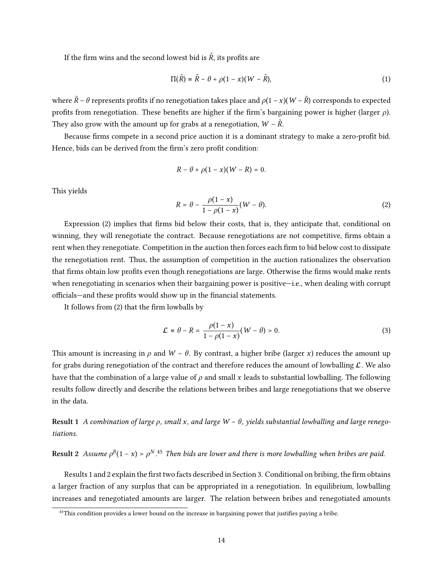If the firm wins and the second lowest bid is  $\tilde{R}$ , its profits are

$$
\Pi(\tilde{R}) = \tilde{R} - \theta + \rho(1 - x)(W - \tilde{R}), \qquad (1)
$$

where  $\tilde{R}$  –  $\theta$  represents profits if no renegotiation takes place and  $\rho(1-x)(W - \tilde{R})$  corresponds to expected profits from renegotiation. These benefits are higher if the firm's bargaining power is higher (larger  $\rho$ ). They also grow with the amount up for grabs at a renegotiation,  $W$  –  $\tilde{R}$ .

Because firms compete in a second price auction it is a dominant strategy to make a zero-profit bid. Hence, bids can be derived from the firm's zero profit condition:

$$
R-\theta+\rho(1-x)(W-R)=0.
$$

This yields

$$
R = \theta - \frac{\rho(1-x)}{1-\rho(1-x)}(W-\theta). \tag{2}
$$

Expression (2) implies that firms bid below their costs, that is, they anticipate that, conditional on winning, they will renegotiate the contract. Because renegotiations are not competitive, firms obtain a rent when they renegotiate. Competition in the auction then forces each firm to bid below cost to dissipate the renegotiation rent. Thus, the assumption of competition in the auction rationalizes the observation that firms obtain low profits even though renegotiations are large. Otherwise the firms would make rents when renegotiating in scenarios when their bargaining power is positive—i.e., when dealing with corrupt officials—and these profits would show up in the financial statements.

It follows from  $(2)$  that the firm lowballs by

$$
\mathcal{L} = \theta - R = \frac{\rho(1 - x)}{1 - \rho(1 - x)} (W - \theta) > 0.
$$
\n(3)

This amount is increasing in  $\rho$  and  $W - \theta$ . By contrast, a higher bribe (larger x) reduces the amount up for grabs during renegotiation of the contract and therefore reduces the amount of lowballing  $\mathcal{L}$ . We also have that the combination of a large value of  $\rho$  and small x leads to substantial lowballing. The following results follow directly and describe the relations between bribes and large renegotiations that we observe in the data.

Result 1 A combination of large  $\rho$ , small x, and large  $W - \theta$ , yields substantial lowballing and large renegotiations.

Result 2 Assume  $\rho^B(1-x) > \rho^{N}$ .<sup>45</sup> Then bids are lower and there is more lowballing when bribes are paid.

Results 1 and 2 explain the first two facts described in Section 3. Conditional on bribing, the firm obtains a larger fraction of any surplus that can be appropriated in a renegotiation. In equilibrium, lowballing increases and renegotiated amounts are larger. The relation between bribes and renegotiated amounts

<sup>&</sup>lt;sup>45</sup>This condition provides a lower bound on the increase in bargaining power that justifies paying a bribe.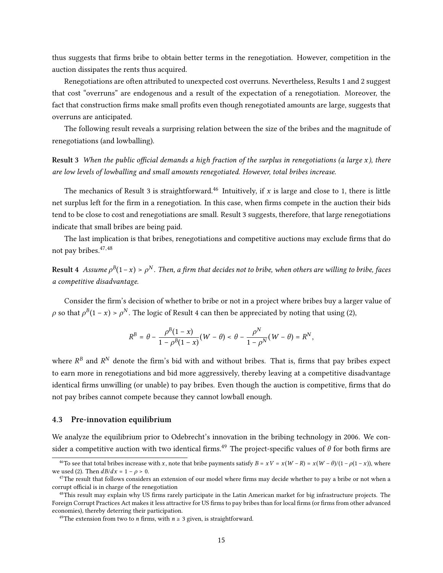thus suggests that firms bribe to obtain better terms in the renegotiation. However, competition in the auction dissipates the rents thus acquired.

Renegotiations are often attributed to unexpected cost overruns. Nevertheless, Results 1 and 2 suggest that cost "overruns" are endogenous and a result of the expectation of a renegotiation. Moreover, the fact that construction firms make small profits even though renegotiated amounts are large, suggests that overruns are anticipated.

The following result reveals a surprising relation between the size of the bribes and the magnitude of renegotiations (and lowballing).

Result 3 When the public official demands a high fraction of the surplus in renegotiations (a large  $x$ ), there are low levels of lowballing and small amounts renegotiated. However, total bribes increase.

The mechanics of Result 3 is straightforward.<sup>46</sup> Intuitively, if  $x$  is large and close to 1, there is little net surplus left for the firm in a renegotiation. In this case, when firms compete in the auction their bids tend to be close to cost and renegotiations are small. Result 3 suggests, therefore, that large renegotiations indicate that small bribes are being paid.

The last implication is that bribes, renegotiations and competitive auctions may exclude firms that do not pay bribes.47,<sup>48</sup>

**Result 4** Assume  $\rho^B(1-x) > \rho^N$  . Then, a firm that decides not to bribe, when others are willing to bribe, faces a competitive disadvantage.

Consider the firm's decision of whether to bribe or not in a project where bribes buy a larger value of  $\rho$  so that  $\rho^B(1-x) > \rho^N$ . The logic of Result 4 can then be appreciated by noting that using (2),

$$
R^B=\theta-\frac{\rho^B(1-x)}{1-\rho^B(1-x)}(W-\theta)<\theta-\frac{\rho^N}{1-\rho^N}(W-\theta)=R^N,
$$

where  $R^B$  and  $R^N$  denote the firm's bid with and without bribes. That is, firms that pay bribes expect to earn more in renegotiations and bid more aggressively, thereby leaving at a competitive disadvantage identical firms unwilling (or unable) to pay bribes. Even though the auction is competitive, firms that do not pay bribes cannot compete because they cannot lowball enough.

#### 4.3 Pre-innovation equilibrium

We analyze the equilibrium prior to Odebrecht's innovation in the bribing technology in 2006. We consider a competitive auction with two identical firms.<sup>49</sup> The project-specific values of  $\theta$  for both firms are

<sup>&</sup>lt;sup>46</sup>To see that total bribes increase with x, note that bribe payments satisfy  $B = xV = x(W - R) = x(W - \theta)/(1 - \rho(1 - x))$ , where we used (2). Then  $dB/dx = 1 - \rho > 0$ .

 $47$ The result that follows considers an extension of our model where firms may decide whether to pay a bribe or not when a corrupt official is in charge of the renegotiation

<sup>&</sup>lt;sup>48</sup>This result may explain why US firms rarely participate in the Latin American market for big infrastructure projects. The Foreign Corrupt Practices Act makes it less attractive for US firms to pay bribes than for local firms (or firms from other advanced economies), thereby deterring their participation.

<sup>&</sup>lt;sup>49</sup>The extension from two to *n* firms, with  $n \geq 3$  given, is straightforward.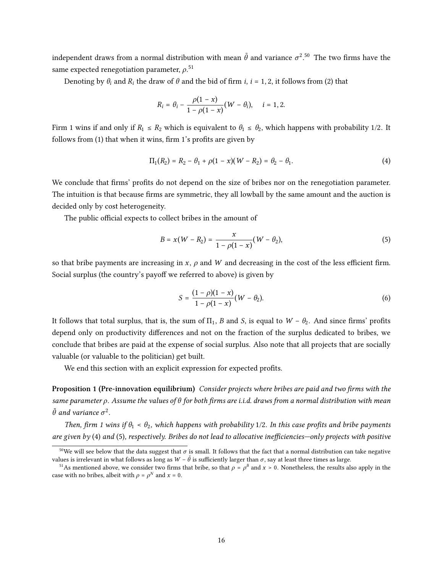independent draws from a normal distribution with mean  $\bar{\theta}$  and variance  $\sigma^2.5^0$  The two firms have the same expected renegotiation parameter,  $\rho^{.51}$ 

Denoting by  $\theta_i$  and  $R_i$  the draw of  $\theta$  and the bid of firm *i*, *i* = 1, 2, it follows from (2) that

$$
R_i = \theta_i - \frac{\rho(1-x)}{1-\rho(1-x)}(W - \theta_i), \quad i = 1, 2.
$$

Firm 1 wins if and only if  $R_1 \le R_2$  which is equivalent to  $\theta_1 \le \theta_2$ , which happens with probability 1/2. It follows from  $(1)$  that when it wins, firm 1's profits are given by

$$
\Pi_1(R_2) = R_2 - \theta_1 + \rho(1 - x)(W - R_2) = \theta_2 - \theta_1.
$$
\n(4)

We conclude that firms' profits do not depend on the size of bribes nor on the renegotiation parameter. The intuition is that because firms are symmetric, they all lowball by the same amount and the auction is decided only by cost heterogeneity.

The public official expects to collect bribes in the amount of

$$
B = x(W - R_2) = \frac{x}{1 - \rho(1 - x)}(W - \theta_2),
$$
\n(5)

so that bribe payments are increasing in  $x$ ,  $\rho$  and  $W$  and decreasing in the cost of the less efficient firm. Social surplus (the country's payoff we referred to above) is given by

$$
S = \frac{(1 - \rho)(1 - x)}{1 - \rho(1 - x)} (W - \theta_2).
$$
 (6)

It follows that total surplus, that is, the sum of  $\Pi_1$ , B and S, is equal to  $W - \theta_2$ . And since firms' profits depend only on productivity differences and not on the fraction of the surplus dedicated to bribes, we conclude that bribes are paid at the expense of social surplus. Also note that all projects that are socially valuable (or valuable to the politician) get built.

We end this section with an explicit expression for expected profits.

Proposition 1 (Pre-innovation equilibrium) Consider projects where bribes are paid and two firms with the same parameter  $\rho$ . Assume the values of  $\theta$  for both firms are i.i.d. draws from a normal distribution with mean  $\bar{\theta}$  and variance  $\sigma^2$ .

Then, firm 1 wins if  $\theta_1 < \theta_2$ , which happens with probability 1/2. In this case profits and bribe payments are given by (4) and (5), respectively. Bribes do not lead to allocative inefficiencies—only projects with positive

<sup>&</sup>lt;sup>50</sup>We will see below that the data suggest that  $\sigma$  is small. It follows that the fact that a normal distribution can take negative values is irrelevant in what follows as long as  $W - \bar{\theta}$  is sufficiently larger than  $\sigma$ , say at least three times as large.

<sup>&</sup>lt;sup>51</sup>As mentioned above, we consider two firms that bribe, so that  $\rho = \rho^B$  and  $x > 0$ . Nonetheless, the results also apply in the case with no bribes, albeit with  $\rho = \rho^N$  and  $x = 0$ .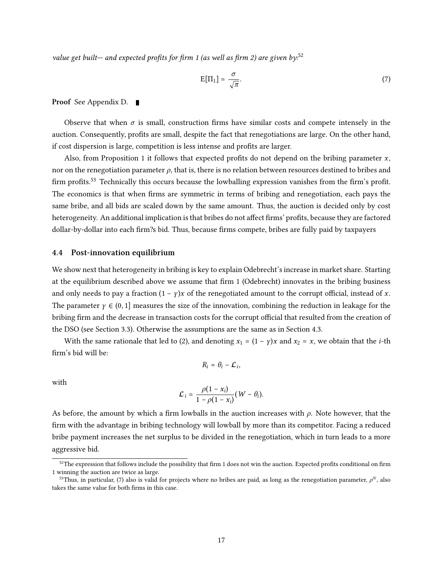value get built— and expected profits for firm 1 (as well as firm 2) are given by: $52$ 

$$
E[\Pi_1] = \frac{\sigma}{\sqrt{\pi}}.\tag{7}
$$

Proof See Appendix D.

Observe that when  $\sigma$  is small, construction firms have similar costs and compete intensely in the auction. Consequently, profits are small, despite the fact that renegotiations are large. On the other hand, if cost dispersion is large, competition is less intense and profits are larger.

Also, from Proposition 1 it follows that expected profits do not depend on the bribing parameter  $x$ , nor on the renegotiation parameter  $\rho$ , that is, there is no relation between resources destined to bribes and firm profits.<sup>53</sup> Technically this occurs because the lowballing expression vanishes from the firm's profit. The economics is that when firms are symmetric in terms of bribing and renegotiation, each pays the same bribe, and all bids are scaled down by the same amount. Thus, the auction is decided only by cost heterogeneity. An additional implication is that bribes do not affect firms' profits, because they are factored dollar-by-dollar into each firm?s bid. Thus, because firms compete, bribes are fully paid by taxpayers

#### 4.4 Post-innovation equilibrium

We show next that heterogeneity in bribing is key to explain Odebrecht's increase in market share. Starting at the equilibrium described above we assume that firm 1 (Odebrecht) innovates in the bribing business and only needs to pay a fraction  $(1 - \gamma)x$  of the renegotiated amount to the corrupt official, instead of x. The parameter  $\gamma \in (0, 1]$  measures the size of the innovation, combining the reduction in leakage for the bribing firm and the decrease in transaction costs for the corrupt official that resulted from the creation of the DSO (see Section 3.3). Otherwise the assumptions are the same as in Section 4.3.

With the same rationale that led to (2), and denoting  $x_1 = (1 - \gamma)x$  and  $x_2 = x$ , we obtain that the *i*-th firm's bid will be:

$$
R_i = \theta_i - \mathcal{L}_i,
$$

with

$$
\mathcal{L}_i = \frac{\rho(1-x_i)}{1-\rho(1-x_i)}(W-\theta_i).
$$

As before, the amount by which a firm lowballs in the auction increases with  $\rho$ . Note however, that the firm with the advantage in bribing technology will lowball by more than its competitor. Facing a reduced bribe payment increases the net surplus to be divided in the renegotiation, which in turn leads to a more aggressive bid.

 $52$ The expression that follows include the possibility that firm 1 does not win the auction. Expected profits conditional on firm 1 winning the auction are twice as large.

<sup>&</sup>lt;sup>53</sup>Thus, in particular, (7) also is valid for projects where no bribes are paid, as long as the renegotiation parameter,  $\rho^N$ , also takes the same value for both firms in this case.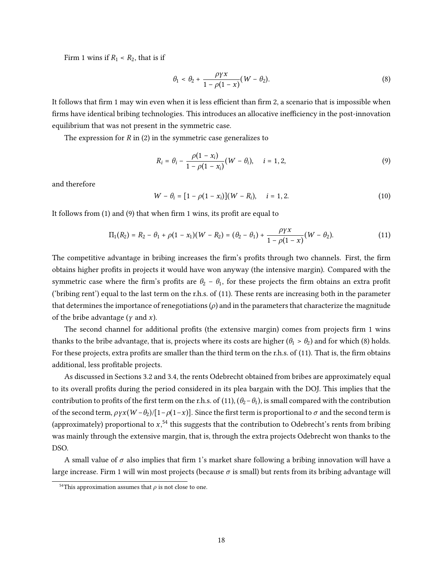Firm 1 wins if  $R_1$  <  $R_2$ , that is if

$$
\theta_1 < \theta_2 + \frac{\rho \gamma x}{1 - \rho(1 - x)} (W - \theta_2). \tag{8}
$$

It follows that firm 1 may win even when it is less efficient than firm 2, a scenario that is impossible when firms have identical bribing technologies. This introduces an allocative inefficiency in the post-innovation equilibrium that was not present in the symmetric case.

The expression for  $R$  in (2) in the symmetric case generalizes to

$$
R_i = \theta_i - \frac{\rho(1 - x_i)}{1 - \rho(1 - x_i)} (W - \theta_i), \quad i = 1, 2,
$$
\n(9)

and therefore

$$
W - \theta_i = [1 - \rho(1 - x_i)](W - R_i), \quad i = 1, 2. \tag{10}
$$

It follows from  $(1)$  and  $(9)$  that when firm 1 wins, its profit are equal to

$$
\Pi_1(R_2) = R_2 - \theta_1 + \rho(1 - x_1)(W - R_2) = (\theta_2 - \theta_1) + \frac{\rho \gamma x}{1 - \rho(1 - x)}(W - \theta_2).
$$
\n(11)

The competitive advantage in bribing increases the firm's profits through two channels. First, the firm obtains higher profits in projects it would have won anyway (the intensive margin). Compared with the symmetric case where the firm's profits are  $\theta_2 - \theta_1$ , for these projects the firm obtains an extra profit ('bribing rent') equal to the last term on the r.h.s. of (11). These rents are increasing both in the parameter that determines the importance of renegotiations  $(\rho)$  and in the parameters that characterize the magnitude of the bribe advantage ( $\gamma$  and  $\chi$ ).

The second channel for additional profits (the extensive margin) comes from projects firm 1 wins thanks to the bribe advantage, that is, projects where its costs are higher ( $\theta_1 > \theta_2$ ) and for which (8) holds. For these projects, extra profits are smaller than the third term on the r.h.s. of (11). That is, the firm obtains additional, less profitable projects.

As discussed in Sections 3.2 and 3.4, the rents Odebrecht obtained from bribes are approximately equal to its overall profits during the period considered in its plea bargain with the DOJ. This implies that the contribution to profits of the first term on the r.h.s. of (11),  $(\theta_2-\theta_1)$ , is small compared with the contribution of the second term,  $\rho \gamma x(W - \theta_2)/[1-\rho(1-x)]$ . Since the first term is proportional to  $\sigma$  and the second term is (approximately) proportional to  $x,$   $54$  this suggests that the contribution to Odebrecht's rents from bribing was mainly through the extensive margin, that is, through the extra projects Odebrecht won thanks to the DSO.

A small value of  $\sigma$  also implies that firm 1's market share following a bribing innovation will have a large increase. Firm 1 will win most projects (because  $\sigma$  is small) but rents from its bribing advantage will

<sup>&</sup>lt;sup>54</sup>This approximation assumes that  $\rho$  is not close to one.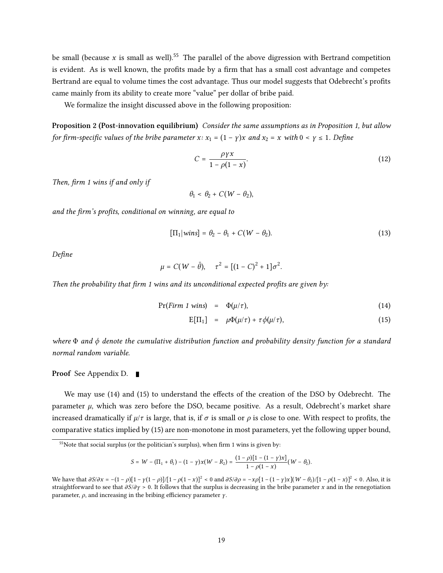be small (because x is small as well).<sup>55</sup> The parallel of the above digression with Bertrand competition is evident. As is well known, the profits made by a firm that has a small cost advantage and competes Bertrand are equal to volume times the cost advantage. Thus our model suggests that Odebrecht's profits came mainly from its ability to create more "value" per dollar of bribe paid.

We formalize the insight discussed above in the following proposition:

Proposition 2 (Post-innovation equilibrium) Consider the same assumptions as in Proposition 1, but allow for firm-specific values of the bribe parameter  $x: x_1 = (1 - y)x$  and  $x_2 = x$  with  $0 < y \le 1$ . Define

$$
C = \frac{\rho \gamma x}{1 - \rho(1 - x)}.\tag{12}
$$

Then, firm 1 wins if and only if

$$
\theta_1 < \theta_2 + C(W - \theta_2),
$$

and the firm's profits, conditional on winning, are equal to

$$
[\Pi_1| wins] = \theta_2 - \theta_1 + C(W - \theta_2). \tag{13}
$$

Define

$$
\mu = C(W - \bar{\theta}), \quad \tau^2 = [(1 - C)^2 + 1]\sigma^2.
$$

Then the probability that firm 1 wins and its unconditional expected profits are given by:

$$
Pr(Firm 1 wins) = \Phi(\mu/\tau), \qquad (14)
$$

$$
E[\Pi_1] = \mu \Phi(\mu/\tau) + \tau \phi(\mu/\tau), \qquad (15)
$$

where  $\Phi$  and  $\phi$  denote the cumulative distribution function and probability density function for a standard normal random variable.

#### Proof See Appendix D. ■

We may use (14) and (15) to understand the effects of the creation of the DSO by Odebrecht. The parameter  $\mu$ , which was zero before the DSO, became positive. As a result, Odebrecht's market share increased dramatically if  $\mu/\tau$  is large, that is, if  $\sigma$  is small or  $\rho$  is close to one. With respect to profits, the comparative statics implied by (15) are non-monotone in most parameters, yet the following upper bound,

$$
S = W - (\Pi_1 + \theta_1) - (1 - \gamma)x(W - R_2) = \frac{(1 - \rho)[1 - (1 - \gamma)x]}{1 - \rho(1 - x)}(W - \theta_2).
$$

 $55$ Note that social surplus (or the politician's surplus), when firm 1 wins is given by:

We have that  $\frac{\partial S}{\partial x} = -(1 - \rho)[1 - \gamma(1 - \rho)]/[1 - \rho(1 - x)]^2 < 0$  and  $\frac{\partial S}{\partial \rho} = -x\rho[1 - (1 - \gamma)x](W - \theta_2)[1 - \rho(1 - x)]^2 < 0$ . Also, it is straightforward to see that  $\partial S/\partial y > 0$ . It follows that the surplus is decreasing in the bribe parameter x and in the renegotiation parameter,  $\rho$ , and increasing in the bribing efficiency parameter  $\gamma$ .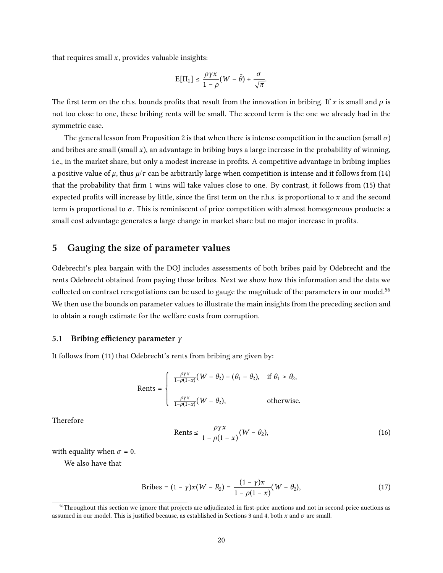that requires small  $x$ , provides valuable insights:

$$
\mathrm{E}[\Pi_1] \leq \frac{\rho \gamma x}{1-\rho} (W - \bar{\theta}) + \frac{\sigma}{\sqrt{\pi}}.
$$

The first term on the r.h.s. bounds profits that result from the innovation in bribing. If x is small and  $\rho$  is not too close to one, these bribing rents will be small. The second term is the one we already had in the symmetric case.

The general lesson from Proposition 2 is that when there is intense competition in the auction (small  $\sigma$ ) and bribes are small (small  $x$ ), an advantage in bribing buys a large increase in the probability of winning, i.e., in the market share, but only a modest increase in profits. A competitive advantage in bribing implies a positive value of  $\mu$ , thus  $\mu/\tau$  can be arbitrarily large when competition is intense and it follows from (14) that the probability that firm 1 wins will take values close to one. By contrast, it follows from (15) that expected profits will increase by little, since the first term on the r.h.s. is proportional to  $x$  and the second term is proportional to  $\sigma$ . This is reminiscent of price competition with almost homogeneous products: a small cost advantage generates a large change in market share but no major increase in profits.

## 5 Gauging the size of parameter values

Odebrecht's plea bargain with the DOJ includes assessments of both bribes paid by Odebrecht and the rents Odebrecht obtained from paying these bribes. Next we show how this information and the data we collected on contract renegotiations can be used to gauge the magnitude of the parameters in our model.<sup>56</sup> We then use the bounds on parameter values to illustrate the main insights from the preceding section and to obtain a rough estimate for the welfare costs from corruption.

#### 5.1 Bribing efficiency parameter  $\gamma$

It follows from (11) that Odebrecht's rents from bribing are given by:

$$
\text{Rents} = \begin{cases} \frac{\rho \gamma x}{1 - \rho(1 - x)} (W - \theta_2) - (\theta_1 - \theta_2), & \text{if } \theta_1 > \theta_2, \\ \frac{\rho \gamma x}{1 - \rho(1 - x)} (W - \theta_2), & \text{otherwise.} \end{cases}
$$

Therefore

$$
\text{Rents} \le \frac{\rho \gamma x}{1 - \rho(1 - x)} (W - \theta_2),\tag{16}
$$

with equality when  $\sigma = 0$ .

We also have that

Bribes = 
$$
(1 - \gamma)x(W - R_2) = \frac{(1 - \gamma)x}{1 - \rho(1 - x)}(W - \theta_2),
$$
 (17)

<sup>&</sup>lt;sup>56</sup>Throughout this section we ignore that projects are adjudicated in first-price auctions and not in second-price auctions as assumed in our model. This is justified because, as established in Sections 3 and 4, both x and  $\sigma$  are small.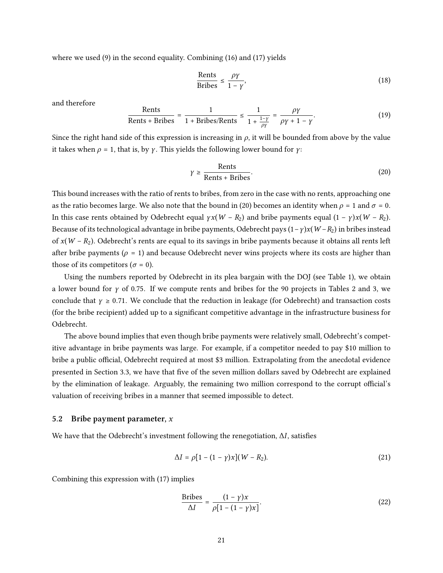where we used (9) in the second equality. Combining (16) and (17) yields

$$
\frac{\text{Rents}}{\text{Bribes}} \le \frac{\rho \gamma}{1 - \gamma},\tag{18}
$$

and therefore

$$
\frac{\text{Rents}}{\text{Rents} + \text{Bribes}} = \frac{1}{1 + \text{Bribes/Rents}} \le \frac{1}{1 + \frac{1 - \gamma}{\rho \gamma}} = \frac{\rho \gamma}{\rho \gamma + 1 - \gamma}.
$$
\n(19)

Since the right hand side of this expression is increasing in  $\rho$ , it will be bounded from above by the value it takes when  $\rho = 1$ , that is, by  $\gamma$ . This yields the following lower bound for  $\gamma$ :

$$
\gamma \ge \frac{\text{Rents}}{\text{Rents} + \text{Bribes}}.\tag{20}
$$

This bound increases with the ratio of rents to bribes, from zero in the case with no rents, approaching one as the ratio becomes large. We also note that the bound in (20) becomes an identity when  $\rho = 1$  and  $\sigma = 0$ . In this case rents obtained by Odebrecht equal  $\gamma x(W - R_2)$  and bribe payments equal  $(1 - \gamma)x(W - R_2)$ . Because of its technological advantage in bribe payments, Odebrecht pays  $(1 - \gamma)x(W - R_2)$  in bribes instead of  $x(W - R_2)$ . Odebrecht's rents are equal to its savings in bribe payments because it obtains all rents left after bribe payments ( $\rho = 1$ ) and because Odebrecht never wins projects where its costs are higher than those of its competitors ( $\sigma = 0$ ).

Using the numbers reported by Odebrecht in its plea bargain with the DOJ (see Table 1), we obtain a lower bound for  $\gamma$  of 0.75. If we compute rents and bribes for the 90 projects in Tables 2 and 3, we conclude that  $y \ge 0.71$ . We conclude that the reduction in leakage (for Odebrecht) and transaction costs (for the bribe recipient) added up to a significant competitive advantage in the infrastructure business for Odebrecht.

The above bound implies that even though bribe payments were relatively small, Odebrecht's competitive advantage in bribe payments was large. For example, if a competitor needed to pay \$10 million to bribe a public official, Odebrecht required at most \$3 million. Extrapolating from the anecdotal evidence presented in Section 3.3, we have that five of the seven million dollars saved by Odebrecht are explained by the elimination of leakage. Arguably, the remaining two million correspond to the corrupt official's valuation of receiving bribes in a manner that seemed impossible to detect.

#### 5.2 Bribe payment parameter,  $x$

We have that the Odebrecht's investment following the renegotiation,  $\Delta I$ , satisfies

$$
\Delta I = \rho [1 - (1 - \gamma)x](W - R_2). \tag{21}
$$

Combining this expression with (17) implies

$$
\frac{\text{Bribes}}{\Delta I} = \frac{(1 - \gamma)x}{\rho [1 - (1 - \gamma)x]}.
$$
\n(22)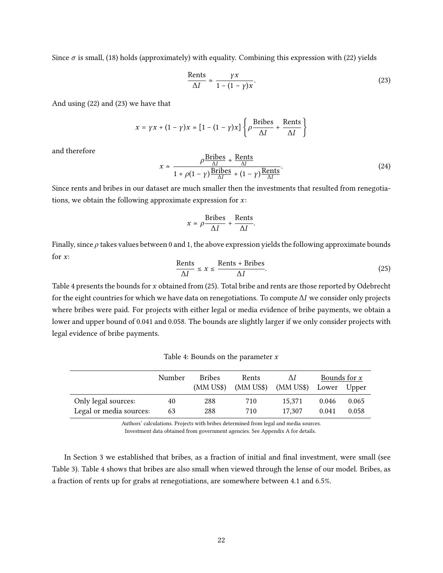Since  $\sigma$  is small, (18) holds (approximately) with equality. Combining this expression with (22) yields

$$
\frac{\text{Rents}}{\Delta I} \simeq \frac{\gamma x}{1 - (1 - \gamma)x}.\tag{23}
$$

And using (22) and (23) we have that

$$
x = \gamma x + (1 - \gamma)x \approx [1 - (1 - \gamma)x] \left\{ \rho \frac{\text{Bribes}}{\Delta I} + \frac{\text{Rents}}{\Delta I} \right\}
$$

and therefore

$$
x \approx \frac{\rho \frac{\text{Bribes}}{\Delta l} + \frac{\text{Rents}}{\Delta l}}{1 + \rho(1 - \gamma) \frac{\text{Bribes}}{\Delta l} + (1 - \gamma) \frac{\text{Rents}}{\Delta l}}.
$$
(24)

Since rents and bribes in our dataset are much smaller then the investments that resulted from renegotiations, we obtain the following approximate expression for  $x$ :

$$
x \approx \rho \frac{\text{Bribes}}{\Delta I} + \frac{\text{Rents}}{\Delta I}.
$$

Finally, since  $\rho$  takes values between 0 and 1, the above expression yields the following approximate bounds for  $x$ :

$$
\frac{\text{Rents}}{\Delta I} \le x \le \frac{\text{Rents} + \text{Bribes}}{\Delta I}.\tag{25}
$$

Table 4 presents the bounds for  $x$  obtained from (25). Total bribe and rents are those reported by Odebrecht for the eight countries for which we have data on renegotiations. To compute  $\Delta I$  we consider only projects where bribes were paid. For projects with either legal or media evidence of bribe payments, we obtain a lower and upper bound of 0.041 and 0.058. The bounds are slightly larger if we only consider projects with legal evidence of bribe payments.

Table 4: Bounds on the parameter  $x$ 

|                         | Number | <b>Bribes</b> | Rents       | ΛI        | Bounds for $x$ |       |
|-------------------------|--------|---------------|-------------|-----------|----------------|-------|
|                         |        | $(MM$ US\$)   | $(MM$ US\$) | (MM US\$) | Lower          | Upper |
| Only legal sources:     | 40     | 288           | 710         | 15.371    | 0.046          | 0.065 |
| Legal or media sources: | 63     | 288           | 710         | 17.307    | 0.041          | 0.058 |

Authors' calculations. Projects with bribes determined from legal and media sources.

Investment data obtained from government agencies. See Appendix A for details.

In Section 3 we established that bribes, as a fraction of initial and final investment, were small (see Table 3). Table 4 shows that bribes are also small when viewed through the lense of our model. Bribes, as a fraction of rents up for grabs at renegotiations, are somewhere between 4.1 and 6.5%.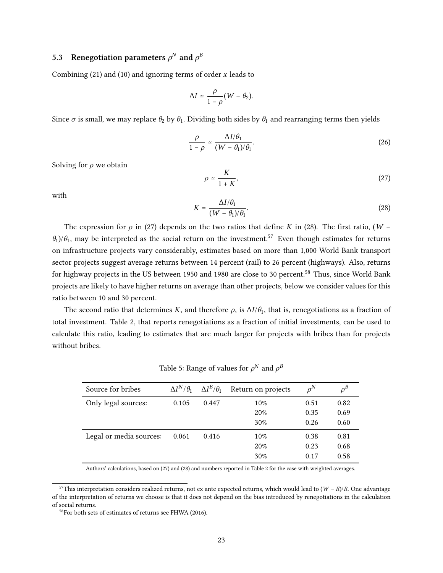# 5.3 Renegotiation parameters  $\rho^N$  and  $\rho^B$

Combining (21) and (10) and ignoring terms of order  $x$  leads to

$$
\Delta I \simeq \frac{\rho}{1-\rho} (W - \theta_2).
$$

Since  $\sigma$  is small, we may replace  $\theta_2$  by  $\theta_1$ . Dividing both sides by  $\theta_1$  and rearranging terms then yields

$$
\frac{\rho}{1-\rho} \simeq \frac{\Delta I/\theta_1}{(W-\theta_1)/\theta_1}.\tag{26}
$$

Solving for  $\rho$  we obtain

$$
\rho \simeq \frac{K}{1+K},\tag{27}
$$

with

$$
K = \frac{\Delta I/\theta_1}{(W - \theta_1)/\theta_1}.\tag{28}
$$

The expression for  $\rho$  in (27) depends on the two ratios that define K in (28). The first ratio, (W –  $\theta_1$ )/ $\theta_1$ , may be interpreted as the social return on the investment.<sup>57</sup> Even though estimates for returns on infrastructure projects vary considerably, estimates based on more than 1,000 World Bank transport sector projects suggest average returns between 14 percent (rail) to 26 percent (highways). Also, returns for highway projects in the US between 1950 and 1980 are close to 30 percent.<sup>58</sup> Thus, since World Bank projects are likely to have higher returns on average than other projects, below we consider values for this ratio between 10 and 30 percent.

The second ratio that determines K, and therefore  $\rho$ , is  $\Delta I/\theta_1$ , that is, renegotiations as a fraction of total investment. Table 2, that reports renegotiations as a fraction of initial investments, can be used to calculate this ratio, leading to estimates that are much larger for projects with bribes than for projects without bribes.

| Source for bribes       | $\Delta I^N/\theta_1 \quad \Delta I^B/\theta_1$ |       | Return on projects | $\rho^N$ | $\rho^B$ |
|-------------------------|-------------------------------------------------|-------|--------------------|----------|----------|
| Only legal sources:     | 0.105                                           | 0.447 | $10\%$             | 0.51     | 0.82     |
|                         |                                                 |       | 20%                | 0.35     | 0.69     |
|                         |                                                 |       | 30%                | 0.26     | 0.60     |
| Legal or media sources: | 0.061                                           | 0.416 | $10\%$             | 0.38     | 0.81     |
|                         |                                                 |       | 20%                | 0.23     | 0.68     |
|                         |                                                 |       | 30%                | 0.17     | 0.58     |
|                         |                                                 |       |                    |          |          |

Table 5: Range of values for  $\rho^N$  and  $\rho^B$ 

Authors' calculations, based on (27) and (28) and numbers reported in Table 2 for the case with weighted averages.

<sup>&</sup>lt;sup>57</sup>This interpretation considers realized returns, not ex ante expected returns, which would lead to  $(W - R)/R$ . One advantage of the interpretation of returns we choose is that it does not depend on the bias introduced by renegotiations in the calculation of social returns.

<sup>58</sup>For both sets of estimates of returns see FHWA (2016).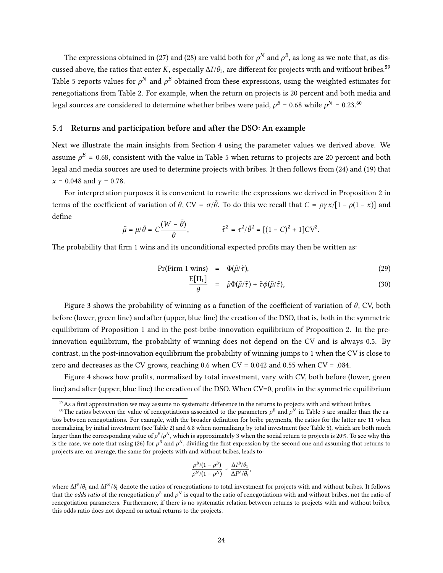The expressions obtained in (27) and (28) are valid both for  $\rho^N$  and  $\rho^B$ , as long as we note that, as discussed above, the ratios that enter K, especially  $\Delta I/\theta_1$ , are different for projects with and without bribes.<sup>59</sup> Table 5 reports values for  $\rho^N$  and  $\rho^B$  obtained from these expressions, using the weighted estimates for renegotiations from Table 2. For example, when the return on projects is 20 percent and both media and legal sources are considered to determine whether bribes were paid,  $\rho^B$  = 0.68 while  $\rho^N$  = 0.23. $^{60}$ 

## 5.4 Returns and participation before and after the DSO: An example

Next we illustrate the main insights from Section 4 using the parameter values we derived above. We assume  $\rho^B$  = 0.68, consistent with the value in Table 5 when returns to projects are 20 percent and both legal and media sources are used to determine projects with bribes. It then follows from (24) and (19) that  $x = 0.048$  and  $y = 0.78$ .

For interpretation purposes it is convenient to rewrite the expressions we derived in Proposition 2 in terms of the coefficient of variation of  $\theta$ , CV =  $\sigma/\bar{\theta}$ . To do this we recall that  $C = \rho \gamma x/[1 - \rho(1 - x)]$  and define

$$
\tilde{\mu}=\mu/\bar{\theta}=C\frac{(W-\bar{\theta})}{\bar{\theta}},\hspace{1.5cm}\tilde{\tau}^2=\tau^2/\bar{\theta}^2=[(1-C)^2+1]\text{CV}^2.
$$

The probability that firm 1 wins and its unconditional expected profits may then be written as:

$$
Pr(Firm 1 wins) = \Phi(\tilde{\mu}/\tilde{\tau}), \qquad (29)
$$

$$
\frac{\mathrm{E}[1\mathrm{I}_1]}{\bar{\theta}} = \tilde{\mu}\Phi(\tilde{\mu}/\tilde{\tau}) + \tilde{\tau}\phi(\tilde{\mu}/\tilde{\tau}), \tag{30}
$$

Figure 3 shows the probability of winning as a function of the coefficient of variation of  $\theta$ , CV, both before (lower, green line) and after (upper, blue line) the creation of the DSO, that is, both in the symmetric equilibrium of Proposition 1 and in the post-bribe-innovation equilibrium of Proposition 2. In the preinnovation equilibrium, the probability of winning does not depend on the CV and is always 0.5. By contrast, in the post-innovation equilibrium the probability of winning jumps to 1 when the CV is close to zero and decreases as the CV grows, reaching  $0.6$  when  $CV = 0.042$  and  $0.55$  when  $CV = .084$ .

Figure 4 shows how profits, normalized by total investment, vary with CV, both before (lower, green line) and after (upper, blue line) the creation of the DSO. When CV=0, profits in the symmetric equilibrium

$$
\frac{\rho^B/(1-\rho^B)}{\rho^N/(1-\rho^N)}\,\simeq\,\frac{\Delta I^B/\theta_1}{\Delta I^N/\theta_1},
$$

 $59$ As a first approximation we may assume no systematic difference in the returns to projects with and without bribes.

 $^{60}$ The ratios between the value of renegotiations associated to the parameters  $\rho^B$  and  $\rho^N$  in Table 5 are smaller than the ratios between renegotiations. For example, with the broader definition for bribe payments, the ratios for the latter are 11 when normalizing by initial investment (see Table 2) and 6.8 when normalizing by total investment (see Table 5), which are both much larger than the corresponding value of  $\rho^B/\rho^N$ , which is approximately 3 when the social return to projects is 20%. To see why this is the case, we note that using (26) for  $\rho^B$  and  $\rho^N$ , dividing the first expression by the second one and assuming that returns to projects are, on average, the same for projects with and without bribes, leads to:

where  $\Delta I^B/\theta_1$  and  $\Delta I^N/\theta_1$  denote the ratios of renegotiations to total investment for projects with and without bribes. It follows that the *odds ratio* of the renegotiation  $\rho^B$  and  $\rho^N$  is equal to the ratio of renegotiations with and without bribes, not the ratio of renegotiation parameters. Furthermore, if there is no systematic relation between returns to projects with and without bribes, this odds ratio does not depend on actual returns to the projects.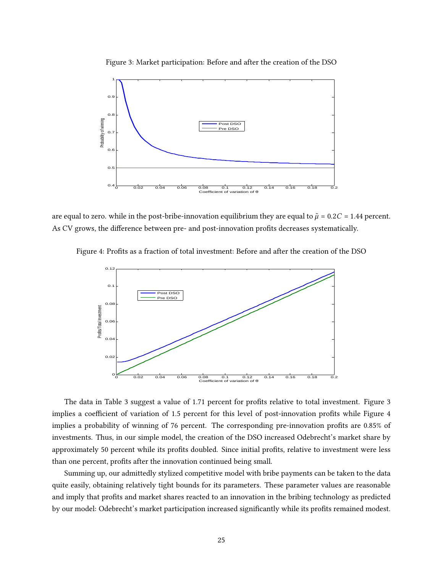



are equal to zero. while in the post-bribe-innovation equilibrium they are equal to  $\tilde{\mu}$  = 0.2 $C$  = 1.44 percent. As CV grows, the difference between pre- and post-innovation profits decreases systematically.

Figure 4: Profits as a fraction of total investment: Before and after the creation of the DSO



The data in Table 3 suggest a value of 1.71 percent for profits relative to total investment. Figure 3 implies a coefficient of variation of 1.5 percent for this level of post-innovation profits while Figure 4 implies a probability of winning of 76 percent. The corresponding pre-innovation profits are 0.85% of investments. Thus, in our simple model, the creation of the DSO increased Odebrecht's market share by approximately 50 percent while its profits doubled. Since initial profits, relative to investment were less than one percent, profits after the innovation continued being small.

Summing up, our admittedly stylized competitive model with bribe payments can be taken to the data quite easily, obtaining relatively tight bounds for its parameters. These parameter values are reasonable and imply that profits and market shares reacted to an innovation in the bribing technology as predicted by our model: Odebrecht's market participation increased significantly while its profits remained modest.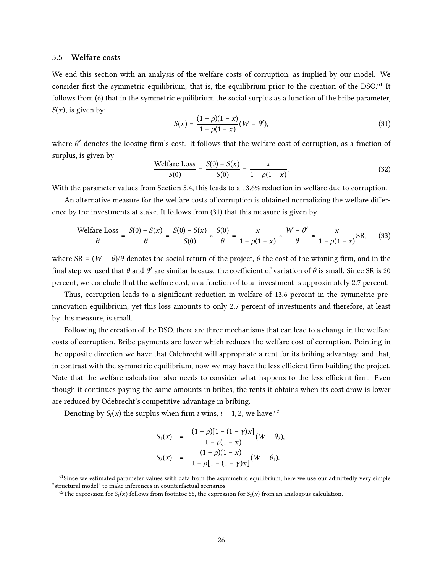### 5.5 Welfare costs

We end this section with an analysis of the welfare costs of corruption, as implied by our model. We consider first the symmetric equilibrium, that is, the equilibrium prior to the creation of the DSO.<sup>61</sup> It follows from (6) that in the symmetric equilibrium the social surplus as a function of the bribe parameter,  $S(x)$ , is given by:

$$
S(x) = \frac{(1 - \rho)(1 - x)}{1 - \rho(1 - x)} (W - \theta'),\tag{31}
$$

where  $\theta'$  denotes the loosing firm's cost. It follows that the welfare cost of corruption, as a fraction of surplus, is given by

$$
\frac{\text{Welfare Loss}}{S(0)} = \frac{S(0) - S(x)}{S(0)} = \frac{x}{1 - \rho(1 - x)}.
$$
\n(32)

With the parameter values from Section 5.4, this leads to a 13.6% reduction in welfare due to corruption.

An alternative measure for the welfare costs of corruption is obtained normalizing the welfare difference by the investments at stake. It follows from (31) that this measure is given by

$$
\frac{\text{Welfare Loss}}{\theta} = \frac{S(0) - S(x)}{\theta} = \frac{S(0) - S(x)}{S(0)} \times \frac{S(0)}{\theta} = \frac{x}{1 - \rho(1 - x)} \times \frac{W - \theta'}{\theta} \approx \frac{x}{1 - \rho(1 - x)} \text{SR},\tag{33}
$$

where SR =  $(W - \theta)/\theta$  denotes the social return of the project,  $\theta$  the cost of the winning firm, and in the final step we used that  $\theta$  and  $\theta'$  are similar because the coefficient of variation of  $\theta$  is small. Since SR is 20 percent, we conclude that the welfare cost, as a fraction of total investment is approximately 2.7 percent.

Thus, corruption leads to a significant reduction in welfare of 13.6 percent in the symmetric preinnovation equilibrium, yet this loss amounts to only 2.7 percent of investments and therefore, at least by this measure, is small.

Following the creation of the DSO, there are three mechanisms that can lead to a change in the welfare costs of corruption. Bribe payments are lower which reduces the welfare cost of corruption. Pointing in the opposite direction we have that Odebrecht will appropriate a rent for its bribing advantage and that, in contrast with the symmetric equilibrium, now we may have the less efficient firm building the project. Note that the welfare calculation also needs to consider what happens to the less efficient firm. Even though it continues paying the same amounts in bribes, the rents it obtains when its cost draw is lower are reduced by Odebrecht's competitive advantage in bribing.

Denoting by  $S_i(x)$  the surplus when firm *i* wins,  $i = 1, 2$ , we have:<sup>62</sup>

$$
S_1(x) = \frac{(1-\rho)[1-(1-\gamma)x]}{1-\rho(1-x)}(W-\theta_2),
$$
  
\n
$$
S_2(x) = \frac{(1-\rho)(1-x)}{1-\rho[1-(1-\gamma)x]}(W-\theta_1).
$$

 $<sup>61</sup>$ Since we estimated parameter values with data from the asymmetric equilibrium, here we use our admittedly very simple</sup> "structural model" to make inferences in counterfactual scenarios.

<sup>&</sup>lt;sup>62</sup>The expression for  $S_1(x)$  follows from footntoe 55, the expression for  $S_2(x)$  from an analogous calculation.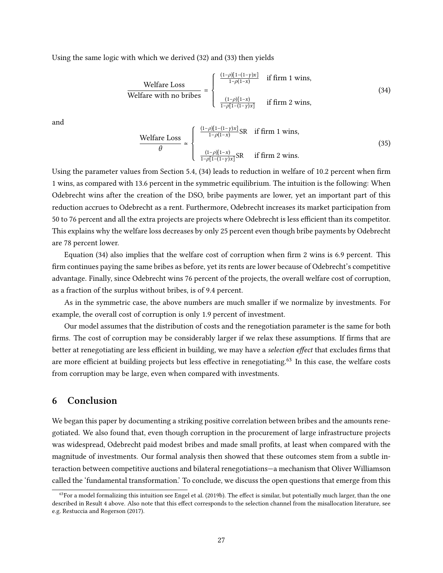Using the same logic with which we derived (32) and (33) then yields

$$
\frac{\text{Welfare Loss}}{\text{Welfare with no bribes}} = \begin{cases} \frac{(1-\rho)[1-(1-\gamma)x]}{1-\rho(1-x)} & \text{if firm 1 wins,} \\ \frac{(1-\rho)[1-x]}{1-\rho[1-(1-\gamma)x]} & \text{if firm 2 wins,} \end{cases} \tag{34}
$$

and

$$
\frac{\text{Welfare Loss}}{\theta} \simeq \begin{cases} \frac{(1-\rho)[1-(1-\gamma)x]}{1-\rho(1-x)} \text{SR} & \text{if firm 1 wins,} \\ \frac{(1-\rho)[1-x]}{1-\rho[1-(1-\gamma)x]} \text{SR} & \text{if firm 2 wins.} \end{cases} \tag{35}
$$

Using the parameter values from Section 5.4,  $(34)$  leads to reduction in welfare of 10.2 percent when firm 1 wins, as compared with 13.6 percent in the symmetric equilibrium. The intuition is the following: When Odebrecht wins after the creation of the DSO, bribe payments are lower, yet an important part of this reduction accrues to Odebrecht as a rent. Furthermore, Odebrecht increases its market participation from 50 to 76 percent and all the extra projects are projects where Odebrecht is less efficient than its competitor. This explains why the welfare loss decreases by only 25 percent even though bribe payments by Odebrecht are 78 percent lower.

Equation  $(34)$  also implies that the welfare cost of corruption when firm 2 wins is 6.9 percent. This firm continues paying the same bribes as before, yet its rents are lower because of Odebrecht's competitive advantage. Finally, since Odebrecht wins 76 percent of the projects, the overall welfare cost of corruption, as a fraction of the surplus without bribes, is of 9.4 percent.

As in the symmetric case, the above numbers are much smaller if we normalize by investments. For example, the overall cost of corruption is only 1.9 percent of investment.

Our model assumes that the distribution of costs and the renegotiation parameter is the same for both firms. The cost of corruption may be considerably larger if we relax these assumptions. If firms that are better at renegotiating are less efficient in building, we may have a selection effect that excludes firms that are more efficient at building projects but less effective in renegotiating.<sup>63</sup> In this case, the welfare costs from corruption may be large, even when compared with investments.

# 6 Conclusion

We began this paper by documenting a striking positive correlation between bribes and the amounts renegotiated. We also found that, even though corruption in the procurement of large infrastructure projects was widespread, Odebrecht paid modest bribes and made small profits, at least when compared with the magnitude of investments. Our formal analysis then showed that these outcomes stem from a subtle interaction between competitive auctions and bilateral renegotiations—a mechanism that Oliver Williamson called the 'fundamental transformation.' To conclude, we discuss the open questions that emerge from this

 $63$  For a model formalizing this intuition see Engel et al. (2019b). The effect is similar, but potentially much larger, than the one described in Result 4 above. Also note that this effect corresponds to the selection channel from the misallocation literature, see e.g. Restuccia and Rogerson (2017).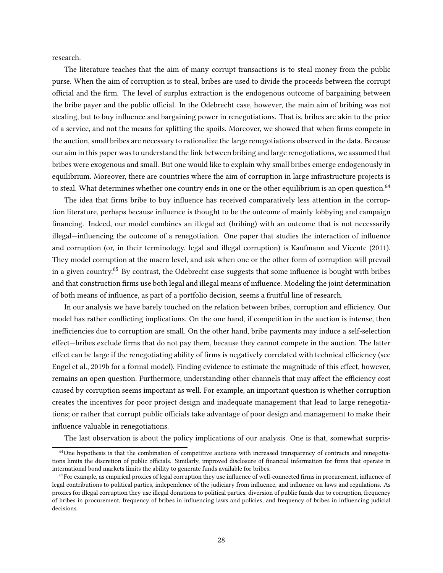research.

The literature teaches that the aim of many corrupt transactions is to steal money from the public purse. When the aim of corruption is to steal, bribes are used to divide the proceeds between the corrupt official and the firm. The level of surplus extraction is the endogenous outcome of bargaining between the bribe payer and the public official. In the Odebrecht case, however, the main aim of bribing was not stealing, but to buy influence and bargaining power in renegotiations. That is, bribes are akin to the price of a service, and not the means for splitting the spoils. Moreover, we showed that when firms compete in the auction, small bribes are necessary to rationalize the large renegotiations observed in the data. Because our aim in this paper was to understand the link between bribing and large renegotiations, we assumed that bribes were exogenous and small. But one would like to explain why small bribes emerge endogenously in equilibrium. Moreover, there are countries where the aim of corruption in large infrastructure projects is to steal. What determines whether one country ends in one or the other equilibrium is an open question.<sup>64</sup>

The idea that firms bribe to buy influence has received comparatively less attention in the corruption literature, perhaps because influence is thought to be the outcome of mainly lobbying and campaign financing. Indeed, our model combines an illegal act (bribing) with an outcome that is not necessarily illegal—influencing the outcome of a renegotiation. One paper that studies the interaction of influence and corruption (or, in their terminology, legal and illegal corruption) is Kaufmann and Vicente (2011). They model corruption at the macro level, and ask when one or the other form of corruption will prevail in a given country.<sup>65</sup> By contrast, the Odebrecht case suggests that some influence is bought with bribes and that construction firms use both legal and illegal means of influence. Modeling the joint determination of both means of influence, as part of a portfolio decision, seems a fruitful line of research.

In our analysis we have barely touched on the relation between bribes, corruption and efficiency. Our model has rather conflicting implications. On the one hand, if competition in the auction is intense, then inefficiencies due to corruption are small. On the other hand, bribe payments may induce a self-selection effect—bribes exclude firms that do not pay them, because they cannot compete in the auction. The latter effect can be large if the renegotiating ability of firms is negatively correlated with technical efficiency (see Engel et al., 2019b for a formal model). Finding evidence to estimate the magnitude of this effect, however, remains an open question. Furthermore, understanding other channels that may affect the efficiency cost caused by corruption seems important as well. For example, an important question is whether corruption creates the incentives for poor project design and inadequate management that lead to large renegotiations; or rather that corrupt public officials take advantage of poor design and management to make their influence valuable in renegotiations.

The last observation is about the policy implications of our analysis. One is that, somewhat surpris-

<sup>&</sup>lt;sup>64</sup>One hypothesis is that the combination of competitive auctions with increased transparency of contracts and renegotiations limits the discretion of public officials. Similarly, improved disclosure of financial information for firms that operate in international bond markets limits the ability to generate funds available for bribes.

 $65$ For example, as empirical proxies of legal corruption they use influence of well-connected firms in procurement, influence of legal contributions to political parties, independence of the judiciary from influence, and influence on laws and regulations. As proxies for illegal corruption they use illegal donations to political parties, diversion of public funds due to corruption, frequency of bribes in procurement, frequency of bribes in influencing laws and policies, and frequency of bribes in influencing judicial decisions.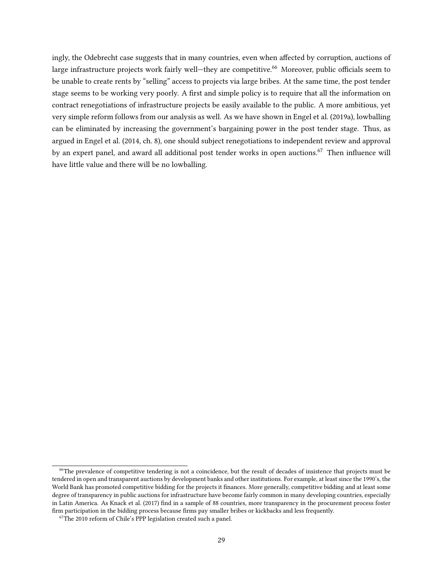ingly, the Odebrecht case suggests that in many countries, even when affected by corruption, auctions of large infrastructure projects work fairly well—they are competitive.<sup>66</sup> Moreover, public officials seem to be unable to create rents by "selling" access to projects via large bribes. At the same time, the post tender stage seems to be working very poorly. A first and simple policy is to require that all the information on contract renegotiations of infrastructure projects be easily available to the public. A more ambitious, yet very simple reform follows from our analysis as well. As we have shown in Engel et al. (2019a), lowballing can be eliminated by increasing the government's bargaining power in the post tender stage. Thus, as argued in Engel et al. (2014, ch. 8), one should subject renegotiations to independent review and approval by an expert panel, and award all additional post tender works in open auctions.<sup>67</sup> Then influence will have little value and there will be no lowballing.

<sup>&</sup>lt;sup>66</sup>The prevalence of competitive tendering is not a coincidence, but the result of decades of insistence that projects must be tendered in open and transparent auctions by development banks and other institutions. For example, at least since the 1990's, the World Bank has promoted competitive bidding for the projects it finances. More generally, competitive bidding and at least some degree of transparency in public auctions for infrastructure have become fairly common in many developing countries, especially in Latin America. As Knack et al. (2017) find in a sample of 88 countries, more transparency in the procurement process foster firm participation in the bidding process because firms pay smaller bribes or kickbacks and less frequently.

 $67$ The 2010 reform of Chile's PPP legislation created such a panel.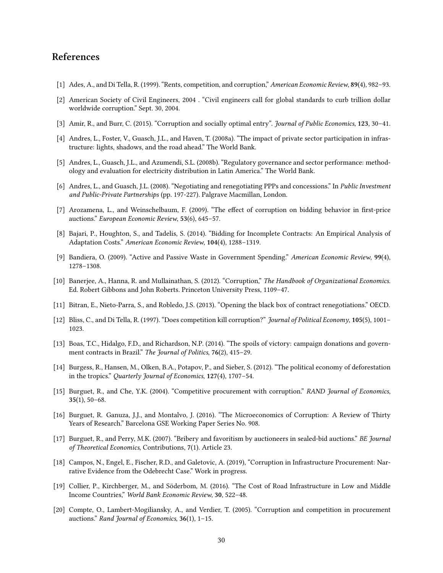# References

- [1] Ades, A., and Di Tella, R. (1999). "Rents, competition, and corruption," American Economic Review, 89(4), 982–93.
- [2] American Society of Civil Engineers, 2004 . "Civil engineers call for global standards to curb trillion dollar worldwide corruption." Sept. 30, 2004.
- [3] Amir, R., and Burr, C. (2015). "Corruption and socially optimal entry". Journal of Public Economics, 123, 30–41.
- [4] Andres, L., Foster, V., Guasch, J.L., and Haven, T. (2008a). "The impact of private sector participation in infrastructure: lights, shadows, and the road ahead." The World Bank.
- [5] Andres, L., Guasch, J.L., and Azumendi, S.L. (2008b). "Regulatory governance and sector performance: methodology and evaluation for electricity distribution in Latin America." The World Bank.
- [6] Andres, L., and Guasch, J.L. (2008). "Negotiating and renegotiating PPPs and concessions." In Public Investment and Public-Private Partnerships (pp. 197-227). Palgrave Macmillan, London.
- [7] Arozamena, L., and Weinschelbaum, F. (2009). "The effect of corruption on bidding behavior in first-price auctions." European Economic Review, 53(6), 645–57.
- [8] Bajari, P., Houghton, S., and Tadelis, S. (2014). "Bidding for Incomplete Contracts: An Empirical Analysis of Adaptation Costs." American Economic Review, 104(4), 1288–1319.
- [9] Bandiera, O. (2009). "Active and Passive Waste in Government Spending." American Economic Review, 99(4), 1278–1308.
- [10] Banerjee, A., Hanna, R. and Mullainathan, S. (2012). "Corruption," The Handbook of Organizational Economics. Ed. Robert Gibbons and John Roberts. Princeton University Press, 1109–47.
- [11] Bitran, E., Nieto-Parra, S., and Robledo, J.S. (2013). "Opening the black box of contract renegotiations." OECD.
- [12] Bliss, C., and Di Tella, R. (1997). "Does competition kill corruption?" Journal of Political Economy, 105(5), 1001– 1023.
- [13] Boas, T.C., Hidalgo, F.D., and Richardson, N.P. (2014). "The spoils of victory: campaign donations and government contracts in Brazil." The Journal of Politics, 76(2), 415–29.
- [14] Burgess, R., Hansen, M., Olken, B.A., Potapov, P., and Sieber, S. (2012). "The political economy of deforestation in the tropics." Quarterly Journal of Economics, 127(4), 1707–54.
- [15] Burguet, R., and Che, Y.K. (2004). "Competitive procurement with corruption." RAND Journal of Economics,  $35(1), 50-68.$
- [16] Burguet, R. Ganuza, J.J., and Montalvo, J. (2016). "The Microeconomics of Corruption: A Review of Thirty Years of Research." Barcelona GSE Working Paper Series No. 908.
- [17] Burguet, R., and Perry, M.K. (2007). "Bribery and favoritism by auctioneers in sealed-bid auctions." BE Journal of Theoretical Economics, Contributions, 7(1). Article 23.
- [18] Campos, N., Engel, E., Fischer, R.D., and Galetovic, A. (2019), "Corruption in Infrastructure Procurement: Narrative Evidence from the Odebrecht Case." Work in progress.
- [19] Collier, P., Kirchberger, M., and Söderbom, M. (2016). "The Cost of Road Infrastructure in Low and Middle Income Countries," World Bank Economic Review, 30, 522–48.
- [20] Compte, O., Lambert-Mogiliansky, A., and Verdier, T. (2005). "Corruption and competition in procurement auctions." Rand Journal of Economics, 36(1), 1–15.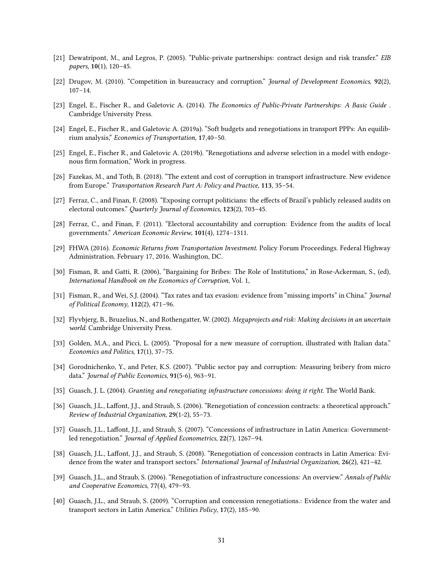- [21] Dewatripont, M., and Legros, P. (2005). "Public-private partnerships: contract design and risk transfer." EIB papers, 10(1), 120–45.
- [22] Drugov, M. (2010). "Competition in bureaucracy and corruption." Journal of Development Economics, 92(2), 107–14.
- [23] Engel, E., Fischer R., and Galetovic A. (2014). The Economics of Public-Private Partnerships: A Basic Guide . Cambridge University Press.
- [24] Engel, E., Fischer R., and Galetovic A. (2019a). "Soft budgets and renegotiations in transport PPPs: An equilibrium analysis," Economics of Transportation, 17,40–50.
- [25] Engel, E., Fischer R., and Galetovic A. (2019b). "Renegotiations and adverse selection in a model with endogenous firm formation," Work in progress.
- [26] Fazekas, M., and Toth, B. (2018). "The extent and cost of corruption in transport infrastructure. New evidence from Europe." Transportation Research Part A: Policy and Practice, 113, 35-54.
- [27] Ferraz, C., and Finan, F. (2008). "Exposing corrupt politicians: the effects of Brazil's publicly released audits on electoral outcomes." Quarterly Journal of Economics, 123(2), 703–45.
- [28] Ferraz, C., and Finan, F. (2011). "Electoral accountability and corruption: Evidence from the audits of local governments." American Economic Review, 101(4), 1274–1311.
- [29] FHWA (2016). Economic Returns from Transportation Investment. Policy Forum Proceedings. Federal Highway Administration. February 17, 2016. Washington, DC.
- [30] Fisman, R. and Gatti, R. (2006), "Bargaining for Bribes: The Role of Institutions," in Rose-Ackerman, S., (ed), International Handbook on the Economics of Corruption, Vol. 1,
- [31] Fisman, R., and Wei, S.J. (2004). "Tax rates and tax evasion: evidence from "missing imports" in China." Journal of Political Economy, 112(2), 471–96.
- [32] Flyvbjerg, B., Bruzelius, N., and Rothengatter, W. (2002). Megaprojects and risk: Making decisions in an uncertain world. Cambridge University Press.
- [33] Golden, M.A., and Picci, L. (2005). "Proposal for a new measure of corruption, illustrated with Italian data." Economics and Politics, 17(1), 37–75.
- [34] Gorodnichenko, Y., and Peter, K.S. (2007). "Public sector pay and corruption: Measuring bribery from micro data." Journal of Public Economics, 91(5-6), 963–91.
- [35] Guasch, J. L. (2004). Granting and renegotiating infrastructure concessions: doing it right. The World Bank.
- [36] Guasch, J.L., Laffont, J.J., and Straub, S. (2006). "Renegotiation of concession contracts: a theoretical approach." Review of Industrial Organization, 29(1-2), 55–73.
- [37] Guasch, J.L., Laffont, J.J., and Straub, S. (2007). "Concessions of infrastructure in Latin America: Governmentled renegotiation." Journal of Applied Econometrics, 22(7), 1267–94.
- [38] Guasch, J.L., Laffont, J.J., and Straub, S. (2008). "Renegotiation of concession contracts in Latin America: Evidence from the water and transport sectors." International Journal of Industrial Organization, 26(2), 421-42.
- [39] Guasch, J.L., and Straub, S. (2006). "Renegotiation of infrastructure concessions: An overview." Annals of Public and Cooperative Economics, 77(4), 479–93.
- [40] Guasch, J.L., and Straub, S. (2009). "Corruption and concession renegotiations.: Evidence from the water and transport sectors in Latin America." Utilities Policy, 17(2), 185–90.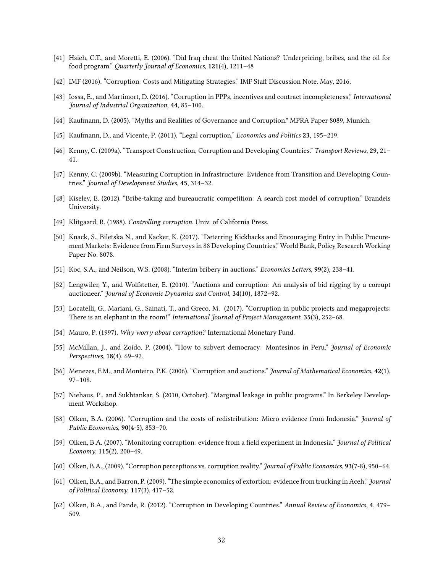- [41] Hsieh, C.T., and Moretti, E. (2006). "Did Iraq cheat the United Nations? Underpricing, bribes, and the oil for food program." Quarterly Journal of Economics, 121(4), 1211–48
- [42] IMF (2016). "Corruption: Costs and Mitigating Strategies." IMF Staff Discussion Note. May, 2016.
- [43] Iossa, E., and Martimort, D. (2016). "Corruption in PPPs, incentives and contract incompleteness," International Journal of Industrial Organization, 44, 85–100.
- [44] Kaufmann, D. (2005). "Myths and Realities of Governance and Corruption." MPRA Paper 8089, Munich.
- [45] Kaufmann, D., and Vicente, P. (2011). "Legal corruption," Economics and Politics 23, 195–219.
- [46] Kenny, C. (2009a). "Transport Construction, Corruption and Developing Countries." Transport Reviews, 29, 21– 41.
- [47] Kenny, C. (2009b). "Measuring Corruption in Infrastructure: Evidence from Transition and Developing Countries." Journal of Development Studies, 45, 314–32.
- [48] Kiselev, E. (2012). "Bribe-taking and bureaucratic competition: A search cost model of corruption." Brandeis University.
- [49] Klitgaard, R. (1988). Controlling corruption. Univ. of California Press.
- [50] Knack, S., Biletska N., and Kacker, K. (2017). "Deterring Kickbacks and Encouraging Entry in Public Procurement Markets: Evidence from Firm Surveys in 88 Developing Countries," World Bank, Policy Research Working Paper No. 8078.
- [51] Koc, S.A., and Neilson, W.S. (2008). "Interim bribery in auctions." Economics Letters, 99(2), 238–41.
- [52] Lengwiler, Y., and Wolfstetter, E. (2010). "Auctions and corruption: An analysis of bid rigging by a corrupt auctioneer." Journal of Economic Dynamics and Control, 34(10), 1872–92.
- [53] Locatelli, G., Mariani, G., Sainati, T., and Greco, M. (2017). "Corruption in public projects and megaprojects: There is an elephant in the room!" International Journal of Project Management, 35(3), 252–68.
- [54] Mauro, P. (1997). Why worry about corruption? International Monetary Fund.
- [55] McMillan, J., and Zoido, P. (2004). "How to subvert democracy: Montesinos in Peru." Journal of Economic Perspectives, 18(4), 69–92.
- [56] Menezes, F.M., and Monteiro, P.K. (2006). "Corruption and auctions." Journal of Mathematical Economics, 42(1), 97–108.
- [57] Niehaus, P., and Sukhtankar, S. (2010, October). "Marginal leakage in public programs." In Berkeley Development Workshop.
- [58] Olken, B.A. (2006). "Corruption and the costs of redistribution: Micro evidence from Indonesia." Journal of Public Economics, 90(4-5), 853–70.
- [59] Olken, B.A. (2007). "Monitoring corruption: evidence from a field experiment in Indonesia." Journal of Political Economy,  $115(2)$ ,  $200-49$ .
- [60] Olken, B.A., (2009). "Corruption perceptions vs. corruption reality." Journal of Public Economics, 93(7-8), 950–64.
- [61] Olken, B.A., and Barron, P. (2009). "The simple economics of extortion: evidence from trucking in Aceh." Journal of Political Economy,  $117(3)$ ,  $417-52$ .
- [62] Olken, B.A., and Pande, R. (2012). "Corruption in Developing Countries." Annual Review of Economics, 4, 479– 509.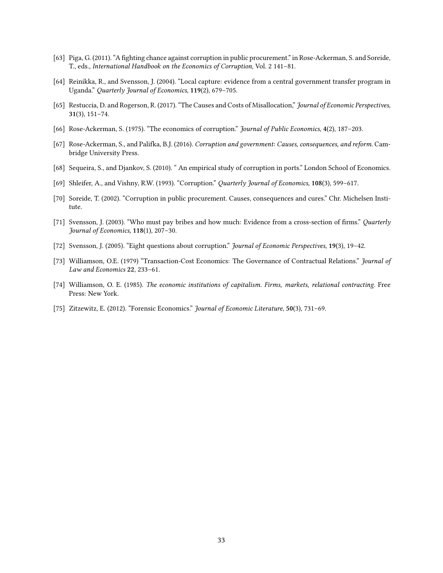- [63] Piga, G. (2011). "A fighting chance against corruption in public procurement." in Rose-Ackerman, S. and Soreide, T., eds., International Handbook on the Economics of Corruption, Vol. 2 141–81.
- [64] Reinikka, R., and Svensson, J. (2004). "Local capture: evidence from a central government transfer program in Uganda." Quarterly Journal of Economics, 119(2), 679–705.
- [65] Restuccia, D. and Rogerson, R. (2017). "The Causes and Costs of Misallocation," Journal of Economic Perspectives, 31(3), 151–74.
- [66] Rose-Ackerman, S. (1975). "The economics of corruption." Journal of Public Economics, 4(2), 187-203.
- [67] Rose-Ackerman, S., and Palifka, B.J. (2016). Corruption and government: Causes, consequences, and reform. Cambridge University Press.
- [68] Sequeira, S., and Djankov, S. (2010). " An empirical study of corruption in ports." London School of Economics.
- [69] Shleifer, A., and Vishny, R.W. (1993). "Corruption." Quarterly Journal of Economics, 108(3), 599–617.
- [70] Soreide, T. (2002). "Corruption in public procurement. Causes, consequences and cures." Chr. Michelsen Institute.
- [71] Svensson, J. (2003). "Who must pay bribes and how much: Evidence from a cross-section of firms." Quarterly Journal of Economics, 118(1), 207–30.
- [72] Svensson, J. (2005). "Eight questions about corruption." Journal of Economic Perspectives, 19(3), 19–42.
- [73] Williamson, O.E. (1979) "Transaction-Cost Economics: The Governance of Contractual Relations." Journal of Law and Economics 22, 233–61.
- [74] Williamson, O. E. (1985). The economic institutions of capitalism. Firms, markets, relational contracting. Free Press: New York.
- [75] Zitzewitz, E. (2012). "Forensic Economics." Journal of Economic Literature, 50(3), 731–69.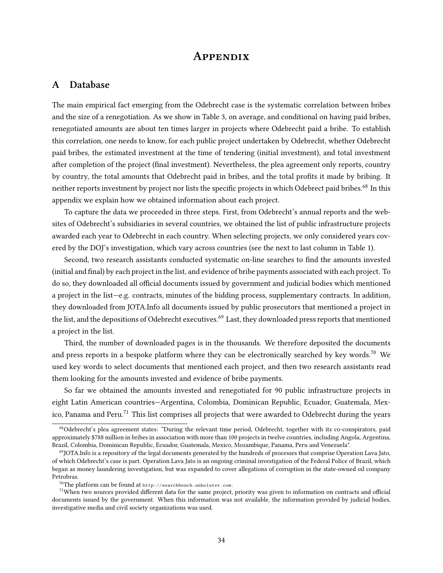# **APPENDIX**

# A Database

The main empirical fact emerging from the Odebrecht case is the systematic correlation between bribes and the size of a renegotiation. As we show in Table 3, on average, and conditional on having paid bribes, renegotiated amounts are about ten times larger in projects where Odebrecht paid a bribe. To establish this correlation, one needs to know, for each public project undertaken by Odebrecht, whether Odebrecht paid bribes, the estimated investment at the time of tendering (initial investment), and total investment after completion of the project (final investment). Nevertheless, the plea agreement only reports, country by country, the total amounts that Odebrecht paid in bribes, and the total profits it made by bribing. It neither reports investment by project nor lists the specific projects in which Odebrect paid bribes.<sup>68</sup> In this appendix we explain how we obtained information about each project.

To capture the data we proceeded in three steps. First, from Odebrecht's annual reports and the websites of Odebrecht's subsidiaries in several countries, we obtained the list of public infrastructure projects awarded each year to Odebrecht in each country. When selecting projects, we only considered years covered by the DOJ's investigation, which vary across countries (see the next to last column in Table 1).

Second, two research assistants conducted systematic on-line searches to find the amounts invested (initial and final) by each project in the list, and evidence of bribe payments associated with each project. To do so, they downloaded all official documents issued by government and judicial bodies which mentioned a project in the list—e.g. contracts, minutes of the bidding process, supplementary contracts. In addition, they downloaded from JOTA.Info all documents issued by public prosecutors that mentioned a project in the list, and the depositions of Odebrecht executives.<sup>69</sup> Last, they downloaded press reports that mentioned a project in the list.

Third, the number of downloaded pages is in the thousands. We therefore deposited the documents and press reports in a bespoke platform where they can be electronically searched by key words.<sup>70</sup> We used key words to select documents that mentioned each project, and then two research assistants read them looking for the amounts invested and evidence of bribe payments.

So far we obtained the amounts invested and renegotiated for 90 public infrastructure projects in eight Latin American countries—Argentina, Colombia, Dominican Republic, Ecuador, Guatemala, Mexico. Panama and Peru.<sup>71</sup> This list comprises all projects that were awarded to Odebrecht during the years

<sup>&</sup>lt;sup>68</sup>Odebrecht's plea agreement states: "During the relevant time period, Odebrecht, together with its co-conspirators, paid approximately \$788 million in bribes in association with more than 100 projects in twelve countries, including Angola, Argentina, Brazil, Colombia, Dominican Republic, Ecuador, Guatemala, Mexico, Mozambique, Panama, Peru and Venezuela".

 $69$ JOTA.Info is a repository of the legal documents generated by the hundreds of processes that comprise Operation Lava Jato, of which Odebrecht's case is part. Operation Lava Jato is an ongoing criminal investigation of the Federal Police of Brazil, which began as money laundering investigation, but was expanded to cover allegations of corruption in the state-owned oil company Petrobras.

 $^{70}$ The platform can be found at  $\text{http://searchbench.unholster.com}.$ 

 $71$ When two sources provided different data for the same project, priority was given to information on contracts and official documents issued by the government. When this information was not available, the information provided by judicial bodies, investigative media and civil society organizations was used.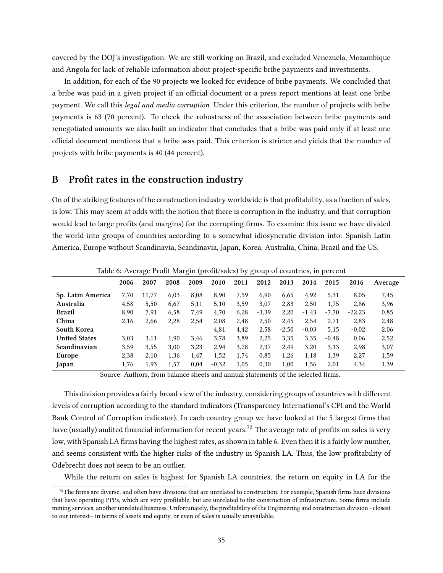covered by the DOJ's investigation. We are still working on Brazil, and excluded Venezuela, Mozambique and Angola for lack of reliable information about project-specific bribe payments and investments.

In addition, for each of the 90 projects we looked for evidence of bribe payments. We concluded that a bribe was paid in a given project if an official document or a press report mentions at least one bribe payment. We call this legal and media corruption. Under this criterion, the number of projects with bribe payments is 63 (70 percent). To check the robustness of the association between bribe payments and renegotiated amounts we also built an indicator that concludes that a bribe was paid only if at least one official document mentions that a bribe was paid. This criterion is stricter and yields that the number of projects with bribe payments is 40 (44 percent).

## B Profit rates in the construction industry

On of the striking features of the construction industry worldwide is that profitability, as a fraction of sales, is low. This may seem at odds with the notion that there is corruption in the industry, and that corruption would lead to large profits (and margins) for the corrupting firms. To examine this issue we have divided the world into groups of countries according to a somewhat idiosyncratic division into: Spanish Latin America, Europe without Scandinavia, Scandinavia, Japan, Korea, Australia, China, Brazil and the US.

|                      |               | ັ      |              | $\check{ }$<br>$\sim$ |         |                |         |                      |                                        |         |          |         |  |
|----------------------|---------------|--------|--------------|-----------------------|---------|----------------|---------|----------------------|----------------------------------------|---------|----------|---------|--|
|                      | 2006          | 2007   | 2008         | 2009                  | 2010    | 2011           | 2012    | 2013                 | 2014                                   | 2015    | 2016     | Average |  |
| Sp. Latin America    | 7,70          | 11.77  | 6.03         | 8.08                  | 8.90    | 7,59           | 6.90    | 6.65                 | 4.92                                   | 5,31    | 8.05     | 7,45    |  |
| Australia            | 4,58          | 5,50   | 6.67         | 5,11                  | 5.10    | 3,59           | 3,07    | 2,83                 | 2,50                                   | 1.75    | 2,86     | 3,96    |  |
| <b>Brazil</b>        | 8,90          | 7,91   | 6,58         | 7,49                  | 4,70    | 6,28           | $-3,39$ | 2,20                 | $-1.43$                                | $-7,70$ | $-22,23$ | 0,85    |  |
| China                | 2,16          | 2,66   | 2,28         | 2,54                  | 2.08    | 2.48           | 2,50    | 2.45                 | 2.54                                   | 2,71    | 2,83     | 2,48    |  |
| South Korea          |               |        |              |                       | 4,81    | 4,42           | 2,58    | $-2,50$              | $-0.03$                                | 5,15    | $-0.02$  | 2,06    |  |
| <b>United States</b> | 3.03          | 3,11   | 1.90         | 3,46                  | 3,78    | 3,89           | 2,25    | 3,35                 | 3,35                                   | $-0.48$ | 0,06     | 2,52    |  |
| Scandinavian         | 3,59          | 3,55   | 3,00         | 3,23                  | 2,94    | 3,28           | 2,37    | 2,49                 | 3,20                                   | 3,13    | 2,98     | 3,07    |  |
| Europe               | 2,38          | 2,10   | 1,36         | 1,47                  | 1,52    | 1,74           | 0,85    | 1,26                 | 1,18                                   | 1,39    | 2,27     | 1,59    |  |
| Japan                | 1,76          | 1,93   | 1,57         | 0,04                  | $-0,32$ | 1,05           | 0,30    | 1,00                 | 1,56                                   | 2,01    | 4,34     | 1,39    |  |
| $\sim$               | $\sim$ $\sim$ | $\sim$ | $\mathbf{1}$ | $\blacksquare$        |         | $\blacksquare$ |         | $\sim$ $\sim$ $\sim$ | $\mathbf{1}$ $\mathbf{1}$ $\mathbf{0}$ |         |          |         |  |

Table 6: Average Profit Margin (profit/sales) by group of countries, in percent

Source: Authors, from balance sheets and annual statements of the selected firms.

This division provides a fairly broad view of the industry, considering groups of countries with different levels of corruption according to the standard indicators (Transparency International's CPI and the World Bank Control of Corruption indicator). In each country group we have looked at the 5 largest firms that have (usually) audited financial information for recent years.<sup>72</sup> The average rate of profits on sales is very low, with Spanish LA firms having the highest rates, as shown in table 6. Even then it is a fairly low number, and seems consistent with the higher risks of the industry in Spanish LA. Thus, the low profitability of Odebrecht does not seem to be an outlier.

While the return on sales is highest for Spanish LA countries, the return on equity in LA for the

 $72$ The firms are diverse, and often have divisions that are unrelated to construction. For example, Spanish firms hace divisions that have operating PPPs, which are very profitable, but are unrelated to the construction of infrastructure. Some firms include mining services, another unrelated business. Unfortunately, the profitability of the Engineering and construction division -closest to our interest– in terms of assets and equity, or even of sales is usually unavailable.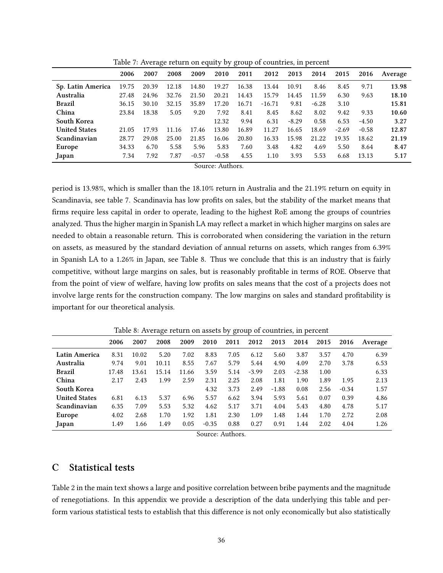|                      |       | ັ     |       |         |         | ◡     |          |         |         |         |         |         |
|----------------------|-------|-------|-------|---------|---------|-------|----------|---------|---------|---------|---------|---------|
|                      | 2006  | 2007  | 2008  | 2009    | 2010    | 2011  | 2012     | 2013    | 2014    | 2015    | 2016    | Average |
| Sp. Latin America    | 19.75 | 20.39 | 12.18 | 14.80   | 19.27   | 16.38 | 13.44    | 10.91   | 8.46    | 8.45    | 9.71    | 13.98   |
| Australia            | 27.48 | 24.96 | 32.76 | 21.50   | 20.21   | 14.43 | 15.79    | 14.45   | 11.59   | 6.30    | 9.63    | 18.10   |
| <b>Brazil</b>        | 36.15 | 30.10 | 32.15 | 35.89   | 17.20   | 16.71 | $-16.71$ | 9.81    | $-6.28$ | 3.10    |         | 15.81   |
| China                | 23.84 | 18.38 | 5.05  | 9.20    | 7.92    | 8.41  | 8.45     | 8.62    | 8.02    | 9.42    | 9.33    | 10.60   |
| South Korea          |       |       |       |         | 12.32   | 9.94  | 6.31     | $-8.29$ | 0.58    | 6.53    | $-4.50$ | 3.27    |
| <b>United States</b> | 21.05 | 17.93 | 11.16 | 17.46   | 13.80   | 16.89 | 11.27    | 16.65   | 18.69   | $-2.69$ | $-0.58$ | 12.87   |
| Scandinavian         | 28.77 | 29.08 | 25.00 | 21.85   | 16.06   | 20.80 | 16.33    | 15.98   | 21.22   | 19.35   | 18.62   | 21.19   |
| Europe               | 34.33 | 6.70  | 5.58  | 5.96    | 5.83    | 7.60  | 3.48     | 4.82    | 4.69    | 5.50    | 8.64    | 8.47    |
| Japan                | 7.34  | 7.92  | 7.87  | $-0.57$ | $-0.58$ | 4.55  | 1.10     | 3.93    | 5.53    | 6.68    | 13.13   | 5.17    |

Table 7: Average return on equity by group of countries, in percent

Source: Authors.

period is 13.98%, which is smaller than the 18.10% return in Australia and the 21.19% return on equity in Scandinavia, see table 7. Scandinavia has low profits on sales, but the stability of the market means that firms require less capital in order to operate, leading to the highest RoE among the groups of countries analyzed. Thus the higher margin in Spanish LA may reflect a market in which higher margins on sales are needed to obtain a reasonable return. This is corroborated when considering the variation in the return on assets, as measured by the standard deviation of annual returns on assets, which ranges from 6.39% in Spanish LA to a 1.26% in Japan, see Table 8. Thus we conclude that this is an industry that is fairly competitive, without large margins on sales, but is reasonably profitable in terms of ROE. Observe that from the point of view of welfare, having low profits on sales means that the cost of a projects does not involve large rents for the construction company. The low margins on sales and standard profitability is important for our theoretical analysis.

|                      |       |       | ပ     |       |         | ັບ   |         |         |         |      |         |         |
|----------------------|-------|-------|-------|-------|---------|------|---------|---------|---------|------|---------|---------|
|                      | 2006  | 2007  | 2008  | 2009  | 2010    | 2011 | 2012    | 2013    | 2014    | 2015 | 2016    | Average |
| Latin America        | 8.31  | 10.02 | 5.20  | 7.02  | 8.83    | 7.05 | 6.12    | 5.60    | 3.87    | 3.57 | 4.70    | 6.39    |
| Australia            | 9.74  | 9.01  | 10.11 | 8.55  | 7.67    | 5.79 | 5.44    | 4.90    | 4.09    | 2.70 | 3.78    | 6.53    |
| <b>Brazil</b>        | 17.48 | 13.61 | 15.14 | 11.66 | 3.59    | 5.14 | $-3.99$ | 2.03    | $-2.38$ | 1.00 |         | 6.33    |
| China                | 2.17  | 2.43  | 1.99  | 2.59  | 2.31    | 2.25 | 2.08    | 1.81    | 1.90    | 1.89 | 1.95    | 2.13    |
| South Korea          |       |       |       |       | 4.32    | 3.73 | 2.49    | $-1.88$ | 0.08    | 2.56 | $-0.34$ | 1.57    |
| <b>United States</b> | 6.81  | 6.13  | 5.37  | 6.96  | 5.57    | 6.62 | 3.94    | 5.93    | 5.61    | 0.07 | 0.39    | 4.86    |
| Scandinavian         | 6.35  | 7.09  | 5.53  | 5.32  | 4.62    | 5.17 | 3.71    | 4.04    | 5.43    | 4.80 | 4.78    | 5.17    |
| Europe               | 4.02  | 2.68  | 1.70  | 1.92  | 1.81    | 2.30 | 1.09    | 1.48    | 1.44    | 1.70 | 2.72    | 2.08    |
| Japan                | 1.49  | 1.66  | 1.49  | 0.05  | $-0.35$ | 0.88 | 0.27    | 0.91    | 1.44    | 2.02 | 4.04    | 1.26    |

Table 8: Average return on assets by group of countries, in percent

Source: Authors.

# C Statistical tests

Table 2 in the main text shows a large and positive correlation between bribe payments and the magnitude of renegotiations. In this appendix we provide a description of the data underlying this table and perform various statistical tests to establish that this difference is not only economically but also statistically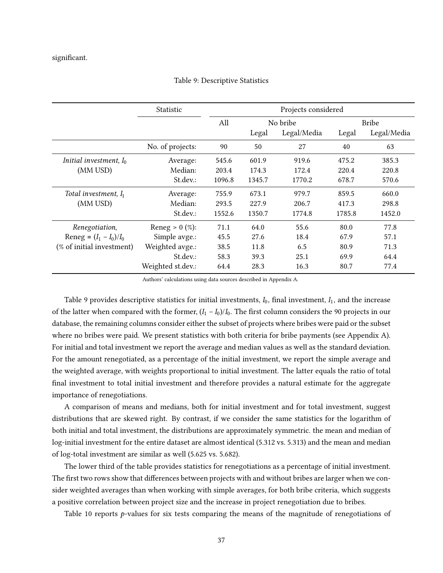### significant.

|                           | Statistic         | Projects considered |        |             |              |             |  |  |  |
|---------------------------|-------------------|---------------------|--------|-------------|--------------|-------------|--|--|--|
|                           |                   | All                 |        | No bribe    | <b>Bribe</b> |             |  |  |  |
|                           |                   |                     | Legal  | Legal/Media | Legal        | Legal/Media |  |  |  |
|                           | No. of projects:  | 90                  | 50     | 27          | 40           | 63          |  |  |  |
| Initial investment, $I_0$ | Average:          | 545.6               | 601.9  | 919.6       | 475.2        | 385.3       |  |  |  |
| (MM USD)                  | Median:           | 203.4               | 174.3  | 172.4       | 220.4        | 220.8       |  |  |  |
|                           | St.dev.:          | 1096.8              | 1345.7 | 1770.2      | 678.7        | 570.6       |  |  |  |
| Total investment, $I_1$   | Average:          | 755.9               | 673.1  | 979.7       | 859.5        | 660.0       |  |  |  |
| (MM USD)                  | Median:           | 293.5               | 227.9  | 206.7       | 417.3        | 298.8       |  |  |  |
|                           | St.dev.:          | 1552.6              | 1350.7 | 1774.8      | 1785.8       | 1452.0      |  |  |  |
| Renegotiation,            | Reneg > $0$ (%):  | 71.1                | 64.0   | 55.6        | 80.0         | 77.8        |  |  |  |
| Reneg = $(I_1 - I_0)/I_0$ | Simple avge.:     | 45.5                | 27.6   | 18.4        | 67.9         | 57.1        |  |  |  |
| (% of initial investment) | Weighted avge.:   | 38.5                | 11.8   | 6.5         | 80.9         | 71.3        |  |  |  |
|                           | St.dev.:          | 58.3                | 39.3   | 25.1        | 69.9         | 64.4        |  |  |  |
|                           | Weighted st.dev.: | 64.4                | 28.3   | 16.3        | 80.7         | 77.4        |  |  |  |

### Table 9: Descriptive Statistics

Authors' calculations using data sources described in Appendix A.

Table 9 provides descriptive statistics for initial investments,  $I_0$ , final investment,  $I_1$ , and the increase of the latter when compared with the former,  $(I_1 - I_0)/I_0$ . The first column considers the 90 projects in our database, the remaining columns consider either the subset of projects where bribes were paid or the subset where no bribes were paid. We present statistics with both criteria for bribe payments (see Appendix A). For initial and total investment we report the average and median values as well as the standard deviation. For the amount renegotiated, as a percentage of the initial investment, we report the simple average and the weighted average, with weights proportional to initial investment. The latter equals the ratio of total final investment to total initial investment and therefore provides a natural estimate for the aggregate importance of renegotiations.

A comparison of means and medians, both for initial investment and for total investment, suggest distributions that are skewed right. By contrast, if we consider the same statistics for the logarithm of both initial and total investment, the distributions are approximately symmetric. the mean and median of log-initial investment for the entire dataset are almost identical (5.312 vs. 5.313) and the mean and median of log-total investment are similar as well (5.625 vs. 5.682).

The lower third of the table provides statistics for renegotiations as a percentage of initial investment. The first two rows show that differences between projects with and without bribes are larger when we consider weighted averages than when working with simple averages, for both bribe criteria, which suggests a positive correlation between project size and the increase in project renegotiation due to bribes.

Table 10 reports  $p$ -values for six tests comparing the means of the magnitude of renegotiations of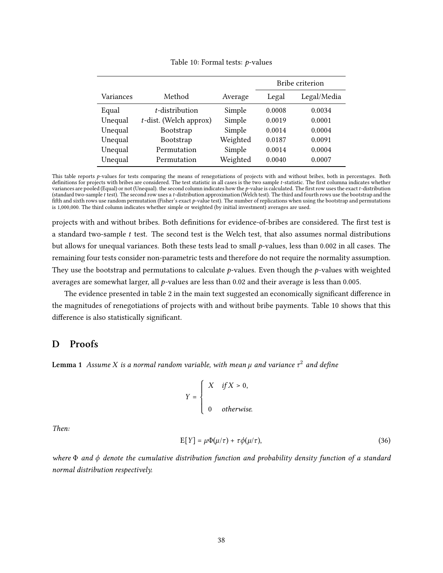#### Table 10: Formal tests:  $p$ -values

|           |                           | Bribe criterion |        |             |  |  |  |
|-----------|---------------------------|-----------------|--------|-------------|--|--|--|
| Variances | Method                    | Average         | Legal  | Legal/Media |  |  |  |
| Equal     | t-distribution            | Simple          | 0.0008 | 0.0034      |  |  |  |
| Unequal   | $t$ -dist. (Welch approx) | Simple          | 0.0019 | 0.0001      |  |  |  |
| Unequal   | Bootstrap                 | Simple          | 0.0014 | 0.0004      |  |  |  |
| Unequal   | Bootstrap                 | Weighted        | 0.0187 | 0.0091      |  |  |  |
| Unequal   | Permutation               | Simple          | 0.0014 | 0.0004      |  |  |  |
| Unequal   | Permutation               | Weighted        | 0.0040 | 0.0007      |  |  |  |

This table reports p-values for tests comparing the means of renegotiations of projects with and without bribes, both in percentages. Both definitions for projects with bribes are considered. The test statistic in all cases is the two sample t-statistic. The first columna indicates whether variances are pooled (Equal) or not (Unequal). the second column indicates how the  $p$ -value is calculated. The first row uses the exact  $t$ -distribution (standard two-sample t test). The second row uses a t-distribution approximation (Welch test). The third and fourth rows use the bootstrap and the fifth and sixth rows use random permutation (Fisher's exact p-value test). The number of replications when using the bootstrap and permutations is 1,000,000. The third column indicates whether simple or weighted (by initial investment) averages are used.

projects with and without bribes. Both definitions for evidence-of-bribes are considered. The first test is a standard two-sample  $t$  test. The second test is the Welch test, that also assumes normal distributions but allows for unequal variances. Both these tests lead to small  $p$ -values, less than 0.002 in all cases. The remaining four tests consider non-parametric tests and therefore do not require the normality assumption. They use the bootstrap and permutations to calculate  $p$ -values. Even though the  $p$ -values with weighted averages are somewhat larger, all  $p$ -values are less than 0.02 and their average is less than 0.005.

The evidence presented in table 2 in the main text suggested an economically significant difference in the magnitudes of renegotiations of projects with and without bribe payments. Table 10 shows that this difference is also statistically significant.

# D Proofs

**Lemma 1** Assume X is a normal random variable, with mean  $\mu$  and variance  $\tau^2$  and define

$$
Y = \begin{cases} X & if X > 0, \\ & \\ 0 & otherwise. \end{cases}
$$

Then:

$$
E[Y] = \mu \Phi(\mu/\tau) + \tau \phi(\mu/\tau), \qquad (36)
$$

where  $\Phi$  and  $\phi$  denote the cumulative distribution function and probability density function of a standard normal distribution respectively.